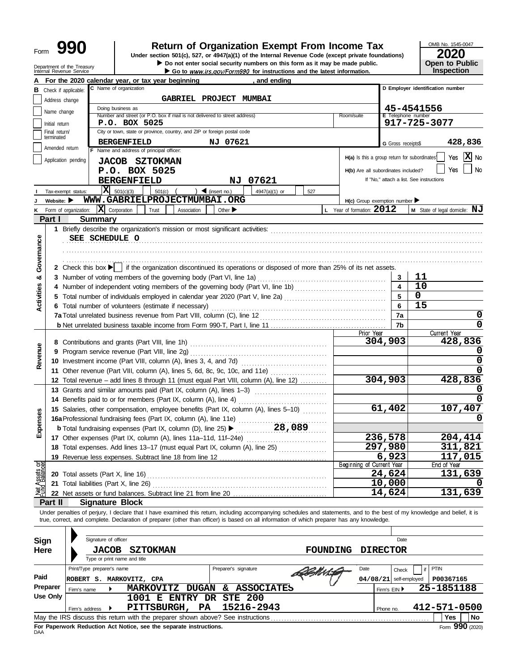| 90<br>וז<br>Form |
|------------------|
|------------------|

**• Do not enter social security numbers on this form as it may be made public. Open to Public 990 2020 2010 2020 2020 Dender section 501(c), 527, or 4947(a)(1) of the Internal Revenue Code (except private foundations) 2020** 

OMB No. 1545-0047 **Open to Public<br>Inspection** 

|                   |                                | Department of the Treasury<br>Internal Revenue Service |                                |                                                                                                                                                                            |                             | Do not enter social security numbers on this form as it may be made public.<br>Go to www.irs.gov/Form990 for instructions and the latest information. |                                              |                        | Open to Public<br>Inspection             |
|-------------------|--------------------------------|--------------------------------------------------------|--------------------------------|----------------------------------------------------------------------------------------------------------------------------------------------------------------------------|-----------------------------|-------------------------------------------------------------------------------------------------------------------------------------------------------|----------------------------------------------|------------------------|------------------------------------------|
|                   |                                |                                                        |                                | For the 2020 calendar year, or tax year beginning                                                                                                                          |                             | , and ending                                                                                                                                          |                                              |                        |                                          |
|                   | <b>B</b> Check if applicable:  |                                                        |                                | C Name of organization                                                                                                                                                     |                             |                                                                                                                                                       |                                              |                        | D Employer identification number         |
|                   | Address change                 |                                                        |                                | <b>GABRIEL PROJECT MUMBAI</b>                                                                                                                                              |                             |                                                                                                                                                       |                                              |                        |                                          |
|                   | Name change                    |                                                        |                                | Doing business as                                                                                                                                                          |                             |                                                                                                                                                       |                                              |                        | 45-4541556                               |
|                   | Initial return                 |                                                        |                                | Number and street (or P.O. box if mail is not delivered to street address)<br>P.O. BOX 5025                                                                                |                             |                                                                                                                                                       | Room/suite                                   | E Telephone number     | 917-725-3077                             |
|                   | Final return/                  |                                                        |                                | City or town, state or province, country, and ZIP or foreign postal code                                                                                                   |                             |                                                                                                                                                       |                                              |                        |                                          |
|                   | terminated                     |                                                        |                                | <b>BERGENFIELD</b>                                                                                                                                                         | NJ 07621                    |                                                                                                                                                       |                                              | G Gross receipts\$     | 428,836                                  |
|                   | Amended return                 |                                                        |                                | F Name and address of principal officer:                                                                                                                                   |                             |                                                                                                                                                       |                                              |                        |                                          |
|                   | Application pending            |                                                        |                                | <b>JACOB SZTOKMAN</b>                                                                                                                                                      |                             |                                                                                                                                                       | H(a) Is this a group return for subordinates |                        | $ \mathbf{X} $ No<br>Yes                 |
|                   |                                |                                                        |                                | P.O. BOX 5025                                                                                                                                                              |                             |                                                                                                                                                       | H(b) Are all subordinates included?          |                        | No<br>Yes                                |
|                   |                                |                                                        |                                | <b>BERGENFIELD</b>                                                                                                                                                         |                             | NJ 07621                                                                                                                                              |                                              |                        | If "No," attach a list. See instructions |
|                   | Tax-exempt status:             |                                                        |                                | $\mathbf{X}$ 501(c)(3)<br>$501(c)$ (                                                                                                                                       | $\big)$ (insert no.)        | 4947(a)(1) or<br>527                                                                                                                                  |                                              |                        |                                          |
|                   | Website: $\blacktriangleright$ |                                                        |                                | WWW.GABRIELPROJECTMUMBAI.ORG                                                                                                                                               |                             |                                                                                                                                                       | $H(c)$ Group exemption number                |                        |                                          |
| κ                 |                                | Form of organization:                                  | $\bar{\mathbf{X}}$ Corporation | Trust<br>Association                                                                                                                                                       | Other $\blacktriangleright$ |                                                                                                                                                       | L Year of formation: 2012                    |                        | M State of legal domicile: NJ            |
|                   | Part I                         |                                                        | Summary                        |                                                                                                                                                                            |                             |                                                                                                                                                       |                                              |                        |                                          |
|                   |                                |                                                        |                                |                                                                                                                                                                            |                             |                                                                                                                                                       |                                              |                        |                                          |
|                   |                                |                                                        |                                | SEE SCHEDULE O                                                                                                                                                             |                             |                                                                                                                                                       |                                              |                        |                                          |
|                   |                                |                                                        |                                |                                                                                                                                                                            |                             |                                                                                                                                                       |                                              |                        |                                          |
| Governance        |                                |                                                        |                                |                                                                                                                                                                            |                             |                                                                                                                                                       |                                              |                        |                                          |
|                   |                                |                                                        |                                | 2 Check this box $\blacktriangleright$   if the organization discontinued its operations or disposed of more than 25% of its net assets.                                   |                             |                                                                                                                                                       |                                              |                        |                                          |
| య                 |                                |                                                        |                                |                                                                                                                                                                            |                             |                                                                                                                                                       |                                              | 3                      | 11                                       |
|                   |                                |                                                        |                                |                                                                                                                                                                            |                             |                                                                                                                                                       |                                              | 4                      | 10                                       |
| <b>Activities</b> |                                |                                                        |                                |                                                                                                                                                                            |                             |                                                                                                                                                       |                                              | 5                      | $\mathbf 0$                              |
|                   |                                |                                                        |                                | 6 Total number of volunteers (estimate if necessary)                                                                                                                       |                             |                                                                                                                                                       |                                              | 6                      | 15                                       |
|                   |                                |                                                        |                                |                                                                                                                                                                            |                             |                                                                                                                                                       |                                              | 7a                     | 0                                        |
|                   |                                |                                                        |                                |                                                                                                                                                                            |                             |                                                                                                                                                       | Prior Year                                   | 7b                     | 0<br><b>Current Year</b>                 |
|                   |                                |                                                        |                                |                                                                                                                                                                            |                             | 304,903                                                                                                                                               | 428,836                                      |                        |                                          |
| Revenue           |                                |                                                        |                                |                                                                                                                                                                            |                             |                                                                                                                                                       |                                              |                        | O                                        |
|                   |                                |                                                        |                                |                                                                                                                                                                            |                             | 0                                                                                                                                                     |                                              |                        |                                          |
|                   |                                |                                                        |                                | 11 Other revenue (Part VIII, column (A), lines 5, 6d, 8c, 9c, 10c, and 11e)                                                                                                |                             |                                                                                                                                                       |                                              |                        | 0                                        |
|                   |                                |                                                        |                                | 12 Total revenue - add lines 8 through 11 (must equal Part VIII, column (A), line 12)                                                                                      |                             |                                                                                                                                                       |                                              | 304,903                | 428,836                                  |
|                   |                                |                                                        |                                | 13 Grants and similar amounts paid (Part IX, column (A), lines 1-3)                                                                                                        |                             |                                                                                                                                                       |                                              |                        |                                          |
|                   |                                |                                                        |                                | 14 Benefits paid to or for members (Part IX, column (A), line 4)                                                                                                           |                             |                                                                                                                                                       |                                              |                        | 0                                        |
|                   |                                |                                                        |                                | 15 Salaries, other compensation, employee benefits (Part IX, column (A), lines 5-10)                                                                                       |                             |                                                                                                                                                       |                                              | 61,402                 | 107,407                                  |
|                   |                                |                                                        |                                |                                                                                                                                                                            |                             |                                                                                                                                                       |                                              |                        | 0                                        |
| Expenses          |                                |                                                        |                                | 15 Salaries, other components of the Carl IX, column (A), line 11e)<br>16a Professional fundraising fees (Part IX, column (A), line 25) 28, 089                            |                             |                                                                                                                                                       |                                              |                        |                                          |
|                   |                                |                                                        |                                |                                                                                                                                                                            |                             |                                                                                                                                                       |                                              | 236,578                | 204,414                                  |
|                   |                                |                                                        |                                | 18 Total expenses. Add lines 13-17 (must equal Part IX, column (A), line 25)                                                                                               |                             | <u> 1999 - Johann Barnett, f</u>                                                                                                                      |                                              | 297,980                | 311,821                                  |
|                   |                                |                                                        |                                | 19 Revenue less expenses. Subtract line 18 from line 12                                                                                                                    |                             |                                                                                                                                                       |                                              | 6,923                  | 117,015                                  |
| Net Assets or     |                                |                                                        |                                |                                                                                                                                                                            |                             |                                                                                                                                                       | Beginning of Current Year                    | 24,624                 | End of Year<br>131,639                   |
|                   |                                |                                                        |                                | 21 Total liabilities (Part X, line 26)                                                                                                                                     |                             |                                                                                                                                                       |                                              | 10,000                 |                                          |
|                   |                                |                                                        |                                |                                                                                                                                                                            |                             |                                                                                                                                                       |                                              | 14,624                 | 131,639                                  |
|                   | Part II                        |                                                        |                                | <b>Signature Block</b>                                                                                                                                                     |                             |                                                                                                                                                       |                                              |                        |                                          |
|                   |                                |                                                        |                                | Under penalties of perjury, I declare that I have examined this return, including accompanying schedules and statements, and to the best of my knowledge and belief, it is |                             |                                                                                                                                                       |                                              |                        |                                          |
|                   |                                |                                                        |                                | true, correct, and complete. Declaration of preparer (other than officer) is based on all information of which preparer has any knowledge.                                 |                             |                                                                                                                                                       |                                              |                        |                                          |
|                   |                                |                                                        |                                |                                                                                                                                                                            |                             |                                                                                                                                                       |                                              |                        |                                          |
| Sign              |                                |                                                        | Signature of officer           |                                                                                                                                                                            |                             |                                                                                                                                                       |                                              | Date                   |                                          |
|                   | Here                           |                                                        | <b>JACOB</b>                   | <b>SZTOKMAN</b>                                                                                                                                                            |                             |                                                                                                                                                       | FOUNDING                                     | <b>DIRECTOR</b>        |                                          |
|                   |                                |                                                        |                                | Type or print name and title                                                                                                                                               |                             |                                                                                                                                                       |                                              |                        |                                          |
|                   |                                |                                                        | Print/Type preparer's name     |                                                                                                                                                                            | Preparer's signature        |                                                                                                                                                       | Date                                         | Check                  | PTIN<br>if                               |
| Paid              |                                |                                                        |                                | ROBERT S. MARKOVITZ, CPA                                                                                                                                                   |                             |                                                                                                                                                       |                                              | 04/08/21 self-employed | P00367165                                |
|                   | Preparer                       | Firm's name                                            |                                | MARKOVITZ DUGAN & ASSOCIATES                                                                                                                                               |                             |                                                                                                                                                       |                                              | Firm's EIN             | 25-1851188                               |
|                   | <b>Use Only</b>                |                                                        |                                | 1001 E ENTRY DR STE 200                                                                                                                                                    |                             |                                                                                                                                                       |                                              |                        |                                          |
|                   |                                | Firm's address                                         |                                | PITTSBURGH, PA                                                                                                                                                             |                             | 15216-2943                                                                                                                                            |                                              | Phone no.              | 412-571-0500                             |
|                   |                                |                                                        |                                | May the IRS discuss this return with the preparer shown above? See instructions                                                                                            |                             |                                                                                                                                                       |                                              |                        | Yes<br>No                                |

|          |                                                                                              |  | Type of print riding and the |                  |     |  |  |                         |  |      |              |                          |            |              |
|----------|----------------------------------------------------------------------------------------------|--|------------------------------|------------------|-----|--|--|-------------------------|--|------|--------------|--------------------------|------------|--------------|
|          | Print/Type preparer's name                                                                   |  |                              |                  |     |  |  | Preparer's signature    |  | Date |              | Check                    | PTIN       |              |
| Paid     | ROBERT S.                                                                                    |  | MARKOVITZ, CPA               |                  |     |  |  |                         |  |      |              | $04/08/21$ self-employed | P00367165  |              |
| Preparer | Firm's name                                                                                  |  |                              | <b>MARKOVITZ</b> |     |  |  | DUGAN & ASSOCIATES      |  |      | Firm's EIN ▶ |                          | 25-1851188 |              |
| Use Only |                                                                                              |  |                              |                  |     |  |  | 1001 E ENTRY DR STE 200 |  |      |              |                          |            |              |
|          | Firm's address                                                                               |  |                              | PITTSBURGH,      | PA. |  |  | 15216-2943              |  |      | Phone no.    |                          |            | 412-571-0500 |
|          | May the IRS discuss this return with the preparer shown above? See instructions<br>No<br>Yes |  |                              |                  |     |  |  |                         |  |      |              |                          |            |              |
|          | Form 990 (2020)<br>For Paperwork Reduction Act Notice, see the separate instructions.        |  |                              |                  |     |  |  |                         |  |      |              |                          |            |              |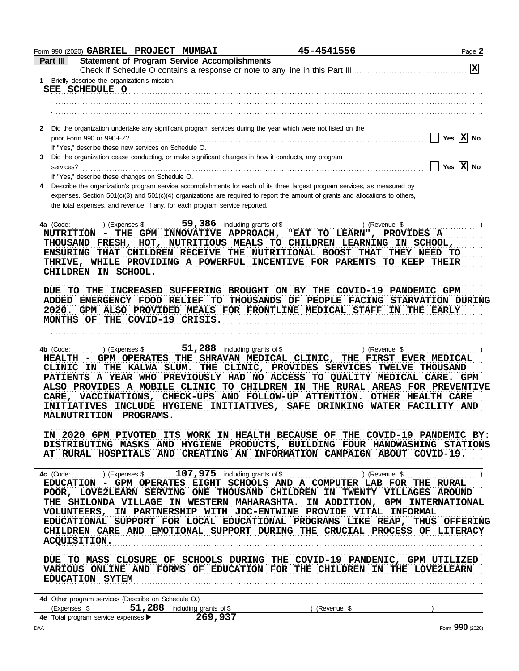|                                      |                                                 | Form 990 (2020) GABRIEL PROJECT MUMBAI               |                                                                             | 45-4541556                                                                                                                                                                                                                                                                                                                                                                                                                                                           | Page 2                                     |
|--------------------------------------|-------------------------------------------------|------------------------------------------------------|-----------------------------------------------------------------------------|----------------------------------------------------------------------------------------------------------------------------------------------------------------------------------------------------------------------------------------------------------------------------------------------------------------------------------------------------------------------------------------------------------------------------------------------------------------------|--------------------------------------------|
| Part III                             |                                                 |                                                      | <b>Statement of Program Service Accomplishments</b>                         |                                                                                                                                                                                                                                                                                                                                                                                                                                                                      | $\mathbf{x}$                               |
| 1.                                   | Briefly describe the organization's mission:    |                                                      |                                                                             |                                                                                                                                                                                                                                                                                                                                                                                                                                                                      |                                            |
|                                      | SEE SCHEDULE O                                  |                                                      |                                                                             |                                                                                                                                                                                                                                                                                                                                                                                                                                                                      |                                            |
|                                      |                                                 |                                                      |                                                                             |                                                                                                                                                                                                                                                                                                                                                                                                                                                                      |                                            |
|                                      |                                                 |                                                      |                                                                             |                                                                                                                                                                                                                                                                                                                                                                                                                                                                      |                                            |
|                                      |                                                 |                                                      |                                                                             |                                                                                                                                                                                                                                                                                                                                                                                                                                                                      |                                            |
| 2                                    |                                                 |                                                      |                                                                             | Did the organization undertake any significant program services during the year which were not listed on the                                                                                                                                                                                                                                                                                                                                                         |                                            |
|                                      | prior Form 990 or 990-EZ?                       |                                                      |                                                                             |                                                                                                                                                                                                                                                                                                                                                                                                                                                                      | Yes $X$ No                                 |
|                                      |                                                 | If "Yes," describe these new services on Schedule O. |                                                                             |                                                                                                                                                                                                                                                                                                                                                                                                                                                                      |                                            |
| 3                                    |                                                 |                                                      |                                                                             | Did the organization cease conducting, or make significant changes in how it conducts, any program                                                                                                                                                                                                                                                                                                                                                                   |                                            |
| services?                            |                                                 |                                                      |                                                                             |                                                                                                                                                                                                                                                                                                                                                                                                                                                                      | Yes $\overline{X}$ No                      |
| 4                                    |                                                 | If "Yes," describe these changes on Schedule O.      |                                                                             | Describe the organization's program service accomplishments for each of its three largest program services, as measured by                                                                                                                                                                                                                                                                                                                                           |                                            |
|                                      |                                                 |                                                      |                                                                             | expenses. Section $501(c)(3)$ and $501(c)(4)$ organizations are required to report the amount of grants and allocations to others,                                                                                                                                                                                                                                                                                                                                   |                                            |
|                                      |                                                 |                                                      | the total expenses, and revenue, if any, for each program service reported. |                                                                                                                                                                                                                                                                                                                                                                                                                                                                      |                                            |
|                                      |                                                 |                                                      |                                                                             |                                                                                                                                                                                                                                                                                                                                                                                                                                                                      |                                            |
| 4a (Code:                            |                                                 | ) (Expenses $\$\dots$                                |                                                                             | 59, 386 including grants of \$                                                                                                                                                                                                                                                                                                                                                                                                                                       |                                            |
|                                      | CHILDREN IN SCHOOL.                             |                                                      |                                                                             | NUTRITION - THE GPM INNOVATIVE APPROACH, "EAT TO LEARN", PROVIDES A<br>THOUSAND FRESH, HOT, NUTRITIOUS MEALS TO CHILDREN LEARNING IN SCHOOL,<br>ENSURING THAT CHILDREN RECEIVE THE NUTRITIONAL BOOST THAT<br>THRIVE, WHILE PROVIDING A POWERFUL INCENTIVE FOR PARENTS TO KEEP THEIR                                                                                                                                                                                  | <b>THEY NEED TO</b>                        |
|                                      |                                                 | MONTHS OF THE COVID-19 CRISIS.                       |                                                                             | DUE TO THE INCREASED SUFFERING BROUGHT ON BY THE COVID-19 PANDEMIC GPM<br>ADDED EMERGENCY FOOD RELIEF TO THOUSANDS OF PEOPLE FACING STARVATION DURING<br>2020. GPM ALSO PROVIDED MEALS FOR FRONTLINE MEDICAL STAFF IN THE EARLY                                                                                                                                                                                                                                      |                                            |
| 4b (Code:<br><b>HEALTH</b><br>CLINIC | ) (Expenses \$<br><b>MALNUTRITION PROGRAMS.</b> | IN THE KALWA SLUM.                                   | $51,288$ including grants of \$                                             | GPM OPERATES THE SHRAVAN MEDICAL CLINIC, THE FIRST EVER MEDICAL<br>THE CLINIC, PROVIDES SERVICES<br>PATIENTS A YEAR WHO PREVIOUSLY HAD NO ACCESS TO QUALITY MEDICAL CARE. GPM<br>ALSO PROVIDES A MOBILE CLINIC TO CHILDREN IN THE RURAL AREAS FOR PREVENTIVE<br>CARE, VACCINATIONS, CHECK-UPS AND FOLLOW-UP ATTENTION. OTHER HEALTH CARE<br>INITIATIVES INCLUDE HYGIENE INITIATIVES, SAFE DRINKING WATER FACILITY AND                                                | ) (Revenue \$<br><b>TWELVE</b><br>THOUSAND |
|                                      |                                                 |                                                      |                                                                             | IN 2020 GPM PIVOTED ITS WORK IN HEALTH BECAUSE OF THE COVID-19 PANDEMIC BY:<br>DISTRIBUTING MASKS AND HYGIENE PRODUCTS, BUILDING FOUR HANDWASHING STATIONS<br>AT RURAL HOSPITALS AND CREATING AN INFORMATION CAMPAIGN ABOUT COVID-19.                                                                                                                                                                                                                                |                                            |
|                                      | <b>ACQUISITION.</b>                             |                                                      |                                                                             | EDUCATION - GPM OPERATES EIGHT SCHOOLS AND A COMPUTER LAB FOR THE RURAL<br>POOR, LOVE2LEARN SERVING ONE THOUSAND CHILDREN IN TWENTY VILLAGES AROUND<br>THE SHILONDA VILLAGE IN WESTERN MAHARASHTA. IN ADDITION, GPM INTERNATIONAL<br>VOLUNTEERS, IN PARTNERSHIP WITH JDC-ENTWINE PROVIDE VITAL INFORMAL<br>EDUCATIONAL SUPPORT FOR LOCAL EDUCATIONAL PROGRAMS LIKE REAP, THUS OFFERING<br>CHILDREN CARE AND EMOTIONAL SUPPORT DURING THE CRUCIAL PROCESS OF LITERACY |                                            |
|                                      | EDUCATION SYTEM                                 |                                                      |                                                                             | DUE TO MASS CLOSURE OF SCHOOLS DURING THE COVID-19 PANDENIC, GPM UTILIZED<br>VARIOUS ONLINE AND FORMS OF EDUCATION FOR THE CHILDREN IN THE LOVE2LEARN                                                                                                                                                                                                                                                                                                                |                                            |
|                                      |                                                 | 4d Other program services (Describe on Schedule O.)  |                                                                             |                                                                                                                                                                                                                                                                                                                                                                                                                                                                      |                                            |
|                                      |                                                 |                                                      | (Expenses \$ 51,288 including grants of \$                                  | ) (Revenue \$                                                                                                                                                                                                                                                                                                                                                                                                                                                        |                                            |
|                                      |                                                 | 4e Total program service expenses > 269,937          |                                                                             |                                                                                                                                                                                                                                                                                                                                                                                                                                                                      |                                            |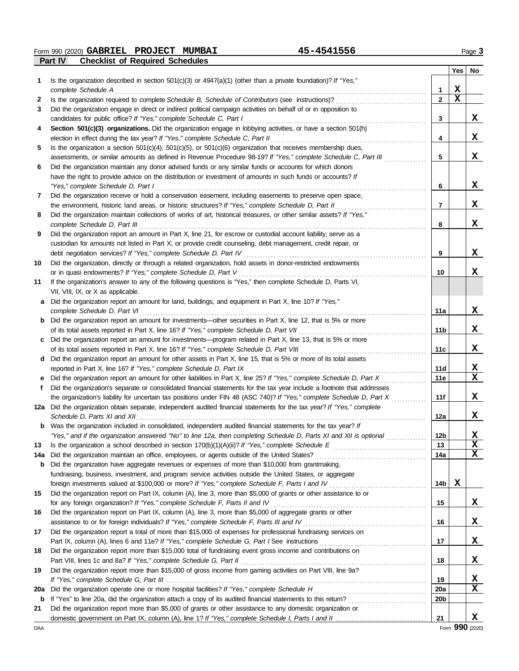**Part IV Checklist of Required Schedules Form 990 (2020) GABRIEL PROJECT MUMBAI 45-4541556** Page 3

|     |                                                                                                                                                                               |                | Yes         | No                      |
|-----|-------------------------------------------------------------------------------------------------------------------------------------------------------------------------------|----------------|-------------|-------------------------|
| 1   | Is the organization described in section $501(c)(3)$ or $4947(a)(1)$ (other than a private foundation)? If "Yes,"                                                             |                |             |                         |
|     | complete Schedule A                                                                                                                                                           | 1              | x           |                         |
| 2   | Is the organization required to complete Schedule B, Schedule of Contributors (see instructions)?                                                                             | $\overline{2}$ | $\mathbf x$ |                         |
| 3   | Did the organization engage in direct or indirect political campaign activities on behalf of or in opposition to                                                              |                |             |                         |
|     | candidates for public office? If "Yes," complete Schedule C, Part I                                                                                                           | 3              |             | x                       |
| 4   | Section 501(c)(3) organizations. Did the organization engage in lobbying activities, or have a section 501(h)                                                                 |                |             |                         |
|     | election in effect during the tax year? If "Yes," complete Schedule C, Part II                                                                                                | 4              |             | X                       |
| 5   | Is the organization a section $501(c)(4)$ , $501(c)(5)$ , or $501(c)(6)$ organization that receives membership dues,                                                          |                |             |                         |
|     | assessments, or similar amounts as defined in Revenue Procedure 98-19? If "Yes," complete Schedule C, Part III                                                                | 5              |             | x                       |
| 6   | Did the organization maintain any donor advised funds or any similar funds or accounts for which donors                                                                       |                |             |                         |
|     | have the right to provide advice on the distribution or investment of amounts in such funds or accounts? If                                                                   |                |             |                         |
|     | "Yes," complete Schedule D, Part I                                                                                                                                            | 6              |             | X                       |
| 7   | Did the organization receive or hold a conservation easement, including easements to preserve open space,                                                                     |                |             |                         |
|     | the environment, historic land areas, or historic structures? If "Yes," complete Schedule D, Part II                                                                          | 7              |             | x                       |
| 8   | Did the organization maintain collections of works of art, historical treasures, or other similar assets? If "Yes,"                                                           |                |             |                         |
|     |                                                                                                                                                                               | 8              |             | x                       |
| 9   | Did the organization report an amount in Part X, line 21, for escrow or custodial account liability, serve as a                                                               |                |             |                         |
|     | custodian for amounts not listed in Part X; or provide credit counseling, debt management, credit repair, or                                                                  | 9              |             | x                       |
|     | debt negotiation services? If "Yes," complete Schedule D, Part IV                                                                                                             |                |             |                         |
| 10  | Did the organization, directly or through a related organization, hold assets in donor-restricted endowments                                                                  | 10             |             | X                       |
| 11  | or in quasi endowments? If "Yes," complete Schedule D, Part V<br>If the organization's answer to any of the following questions is "Yes," then complete Schedule D, Parts VI, |                |             |                         |
|     | VII, VIII, IX, or X as applicable.                                                                                                                                            |                |             |                         |
| а   | Did the organization report an amount for land, buildings, and equipment in Part X, line 10? If "Yes,"                                                                        |                |             |                         |
|     | complete Schedule D, Part VI                                                                                                                                                  | 11a            |             | X                       |
|     | <b>b</b> Did the organization report an amount for investments—other securities in Part X, line 12, that is 5% or more                                                        |                |             |                         |
|     | of its total assets reported in Part X, line 16? If "Yes," complete Schedule D, Part VII                                                                                      | 11 b           |             | X                       |
| c   | Did the organization report an amount for investments—program related in Part X, line 13, that is 5% or more                                                                  |                |             |                         |
|     |                                                                                                                                                                               | 11c            |             | X                       |
| d   | Did the organization report an amount for other assets in Part X, line 15, that is 5% or more of its total assets                                                             |                |             |                         |
|     | reported in Part X, line 16? If "Yes," complete Schedule D, Part IX                                                                                                           | 11d            |             | $\mathbf x$             |
| е   | Did the organization report an amount for other liabilities in Part X, line 25? If "Yes," complete Schedule D, Part X                                                         | 11e            |             | X                       |
| f   | Did the organization's separate or consolidated financial statements for the tax year include a footnote that addresses                                                       |                |             |                         |
|     | the organization's liability for uncertain tax positions under FIN 48 (ASC 740)? If "Yes," complete Schedule D, Part X                                                        | 11f            |             | X                       |
|     | 12a Did the organization obtain separate, independent audited financial statements for the tax year? If "Yes," complete                                                       |                |             |                         |
|     |                                                                                                                                                                               | 12a            |             | x                       |
| b   | Was the organization included in consolidated, independent audited financial statements for the tax year? If                                                                  |                |             |                         |
|     | "Yes," and if the organization answered "No" to line 12a, then completing Schedule D, Parts XI and XII is optional                                                            | 12b            |             | <u>x</u>                |
|     |                                                                                                                                                                               | 13             |             | $\overline{\textbf{X}}$ |
| 14a | Did the organization maintain an office, employees, or agents outside of the United States?                                                                                   | 14a            |             | X                       |
| b   | Did the organization have aggregate revenues or expenses of more than \$10,000 from grantmaking,                                                                              |                |             |                         |
|     | fundraising, business, investment, and program service activities outside the United States, or aggregate                                                                     |                |             |                         |
|     |                                                                                                                                                                               | 14b            | X           |                         |
| 15  | Did the organization report on Part IX, column (A), line 3, more than \$5,000 of grants or other assistance to or                                                             |                |             |                         |
|     | for any foreign organization? If "Yes," complete Schedule F, Parts II and IV [[[[[[[[[[[[[[[[[[[[[[[[[[[[[[[[                                                                 | 15             |             | x                       |
| 16  | Did the organization report on Part IX, column (A), line 3, more than \$5,000 of aggregate grants or other                                                                    |                |             |                         |
|     | assistance to or for foreign individuals? If "Yes," complete Schedule F, Parts III and IV                                                                                     | 16             |             | X                       |
| 17  | Did the organization report a total of more than \$15,000 of expenses for professional fundraising services on                                                                |                |             |                         |
|     | Part IX, column (A), lines 6 and 11e? If "Yes," complete Schedule G, Part I See instructions                                                                                  | 17             |             | x                       |
| 18  | Did the organization report more than \$15,000 total of fundraising event gross income and contributions on                                                                   |                |             |                         |
|     | Part VIII, lines 1c and 8a? If "Yes," complete Schedule G, Part II                                                                                                            | 18             |             | X                       |
| 19  | Did the organization report more than \$15,000 of gross income from gaming activities on Part VIII, line 9a?                                                                  |                |             |                         |
|     |                                                                                                                                                                               | 19             |             | X                       |
| 20a | Did the organization operate one or more hospital facilities? If "Yes," complete Schedule H                                                                                   | 20a            |             | X                       |
| b   | If "Yes" to line 20a, did the organization attach a copy of its audited financial statements to this return?                                                                  | 20b            |             |                         |
| 21  | Did the organization report more than \$5,000 of grants or other assistance to any domestic organization or                                                                   |                |             |                         |
|     |                                                                                                                                                                               | 21             |             | x                       |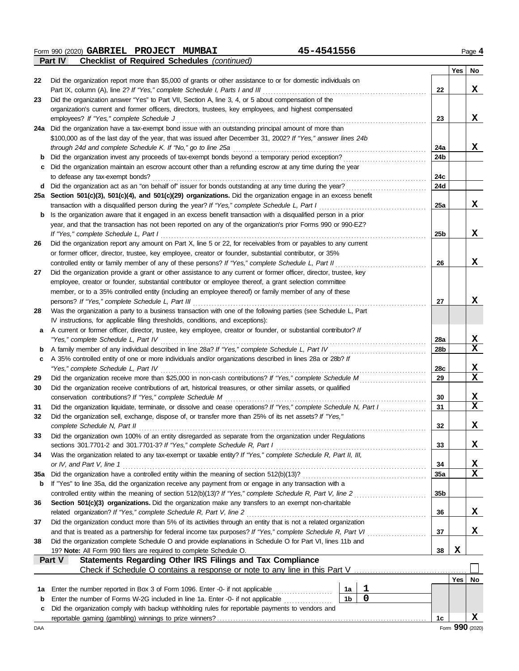Form 990 (2020) **GABRIEL PROJECT MUMBAI 15-4541556** Page 4 **GABRIEL PROJECT MUMBAI 45-4541556**

|     | Part IV<br><b>Checklist of Required Schedules (continued)</b>                                                                                                     |                 |     |    |
|-----|-------------------------------------------------------------------------------------------------------------------------------------------------------------------|-----------------|-----|----|
|     |                                                                                                                                                                   |                 | Yes | No |
| 22  | Did the organization report more than \$5,000 of grants or other assistance to or for domestic individuals on                                                     |                 |     |    |
|     | Part IX, column (A), line 2? If "Yes," complete Schedule I, Parts I and III                                                                                       | 22              |     | X  |
| 23  | Did the organization answer "Yes" to Part VII, Section A, line 3, 4, or 5 about compensation of the                                                               |                 |     |    |
|     | organization's current and former officers, directors, trustees, key employees, and highest compensated                                                           |                 |     |    |
|     | employees? If "Yes," complete Schedule J                                                                                                                          | 23              |     | x  |
|     | 24a Did the organization have a tax-exempt bond issue with an outstanding principal amount of more than                                                           |                 |     |    |
|     | \$100,000 as of the last day of the year, that was issued after December 31, 2002? If "Yes," answer lines 24b                                                     | 24a             |     | x  |
| b   | through 24d and complete Schedule K. If "No," go to line 25a<br>Did the organization invest any proceeds of tax-exempt bonds beyond a temporary period exception? | 24b             |     |    |
| c   | Did the organization maintain an escrow account other than a refunding escrow at any time during the year                                                         |                 |     |    |
|     | to defease any tax-exempt bonds?                                                                                                                                  | 24c             |     |    |
| d   |                                                                                                                                                                   | 24d             |     |    |
|     | 25a Section 501(c)(3), 501(c)(4), and 501(c)(29) organizations. Did the organization engage in an excess benefit                                                  |                 |     |    |
|     | transaction with a disqualified person during the year? If "Yes," complete Schedule L, Part I                                                                     | 25a             |     | x  |
| b   | Is the organization aware that it engaged in an excess benefit transaction with a disqualified person in a prior                                                  |                 |     |    |
|     | year, and that the transaction has not been reported on any of the organization's prior Forms 990 or 990-EZ?                                                      |                 |     |    |
|     | If "Yes," complete Schedule L, Part I                                                                                                                             | 25b             |     | x  |
| 26  | Did the organization report any amount on Part X, line 5 or 22, for receivables from or payables to any current                                                   |                 |     |    |
|     | or former officer, director, trustee, key employee, creator or founder, substantial contributor, or 35%                                                           |                 |     |    |
|     | controlled entity or family member of any of these persons? If "Yes," complete Schedule L, Part II                                                                | 26              |     | X  |
| 27  | Did the organization provide a grant or other assistance to any current or former officer, director, trustee, key                                                 |                 |     |    |
|     | employee, creator or founder, substantial contributor or employee thereof, a grant selection committee                                                            |                 |     |    |
|     | member, or to a 35% controlled entity (including an employee thereof) or family member of any of these                                                            |                 |     |    |
|     | persons? If "Yes," complete Schedule L, Part III                                                                                                                  | 27              |     | x  |
| 28  | Was the organization a party to a business transaction with one of the following parties (see Schedule L, Part                                                    |                 |     |    |
|     | IV instructions, for applicable filing thresholds, conditions, and exceptions):                                                                                   |                 |     |    |
| а   | A current or former officer, director, trustee, key employee, creator or founder, or substantial contributor? If                                                  |                 |     |    |
|     | "Yes," complete Schedule L, Part IV                                                                                                                               | 28a             |     | X  |
| b   |                                                                                                                                                                   | 28b             |     | x  |
| c   | A 35% controlled entity of one or more individuals and/or organizations described in lines 28a or 28b? If                                                         |                 |     |    |
|     | "Yes," complete Schedule L, Part IV                                                                                                                               | 28c             |     | x  |
| 29  | Did the organization receive more than \$25,000 in non-cash contributions? If "Yes," complete Schedule M                                                          | 29              |     | х  |
| 30  | Did the organization receive contributions of art, historical treasures, or other similar assets, or qualified                                                    |                 |     |    |
|     | conservation contributions? If "Yes," complete Schedule M                                                                                                         | 30              |     | X  |
| 31  | Did the organization liquidate, terminate, or dissolve and cease operations? If "Yes," complete Schedule N, Part I                                                | 31              |     | X  |
| 32  | Did the organization sell, exchange, dispose of, or transfer more than 25% of its net assets? If "Yes,"                                                           |                 |     |    |
|     | complete Schedule N, Part II                                                                                                                                      | 32              |     | х  |
| 33  | Did the organization own 100% of an entity disregarded as separate from the organization under Regulations                                                        |                 |     |    |
|     |                                                                                                                                                                   | 33              |     | X  |
| 34  | Was the organization related to any tax-exempt or taxable entity? If "Yes," complete Schedule R, Part II, III,                                                    |                 |     |    |
|     | or IV, and Part V, line 1                                                                                                                                         | 34              |     | x  |
| 35a |                                                                                                                                                                   | 35a             |     | x  |
| b   | If "Yes" to line 35a, did the organization receive any payment from or engage in any transaction with a                                                           | 35 <sub>b</sub> |     |    |
| 36  | Section 501(c)(3) organizations. Did the organization make any transfers to an exempt non-charitable                                                              |                 |     |    |
|     | related organization? If "Yes," complete Schedule R, Part V, line 2                                                                                               | 36              |     | X  |
| 37  | Did the organization conduct more than 5% of its activities through an entity that is not a related organization                                                  |                 |     |    |
|     | and that is treated as a partnership for federal income tax purposes? If "Yes," complete Schedule R, Part VI                                                      | 37              |     | X  |
| 38  | Did the organization complete Schedule O and provide explanations in Schedule O for Part VI, lines 11b and                                                        |                 |     |    |
|     | 19? Note: All Form 990 filers are required to complete Schedule O.                                                                                                | 38              | X   |    |
|     | Statements Regarding Other IRS Filings and Tax Compliance<br>Part V                                                                                               |                 |     |    |
|     | Check if Schedule O contains a response or note to any line in this Part V                                                                                        |                 |     |    |
|     |                                                                                                                                                                   |                 | Yes | No |
| 1а  | ı<br>Enter the number reported in Box 3 of Form 1096. Enter -0- if not applicable<br>1a                                                                           |                 |     |    |
| b   | $\mathbf 0$<br>1 <sub>b</sub><br>Enter the number of Forms W-2G included in line 1a. Enter -0- if not applicable                                                  |                 |     |    |
| c   | Did the organization comply with backup withholding rules for reportable payments to vendors and                                                                  |                 |     |    |
|     |                                                                                                                                                                   | 1c              |     | x  |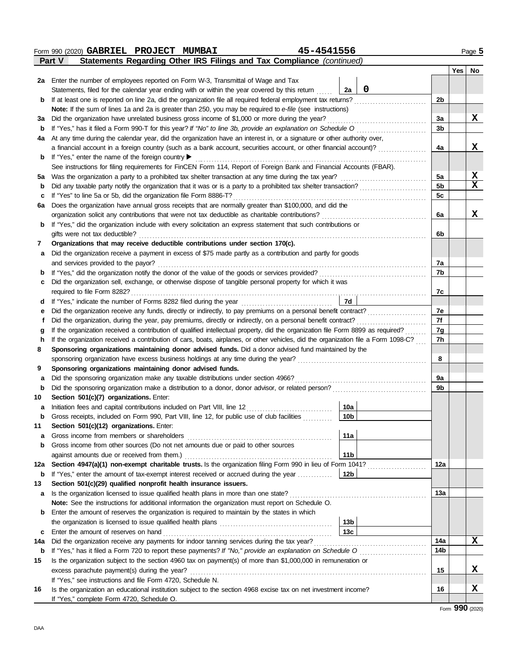|     | 45-4541556<br>Form 990 (2020) GABRIEL PROJECT MUMBAI                                                                                                                                                                                  |                |     | Page $5$        |
|-----|---------------------------------------------------------------------------------------------------------------------------------------------------------------------------------------------------------------------------------------|----------------|-----|-----------------|
|     | Statements Regarding Other IRS Filings and Tax Compliance (continued)<br><b>Part V</b>                                                                                                                                                |                |     |                 |
|     |                                                                                                                                                                                                                                       |                | Yes | No              |
|     | 2a Enter the number of employees reported on Form W-3, Transmittal of Wage and Tax                                                                                                                                                    |                |     |                 |
|     | 0<br>Statements, filed for the calendar year ending with or within the year covered by this return<br>2a                                                                                                                              |                |     |                 |
| b   | If at least one is reported on line 2a, did the organization file all required federal employment tax returns?                                                                                                                        | 2b             |     |                 |
|     | Note: If the sum of lines 1a and 2a is greater than 250, you may be required to e-file (see instructions)                                                                                                                             |                |     |                 |
| За  | Did the organization have unrelated business gross income of \$1,000 or more during the year?                                                                                                                                         | 3a             |     | x               |
| b   | If "Yes," has it filed a Form 990-T for this year? If "No" to line 3b, provide an explanation on Schedule O                                                                                                                           | 3 <sub>b</sub> |     |                 |
| 4a  | At any time during the calendar year, did the organization have an interest in, or a signature or other authority over,                                                                                                               |                |     |                 |
|     | a financial account in a foreign country (such as a bank account, securities account, or other financial account)?                                                                                                                    | 4a             |     | X.              |
|     | <b>b</b> If "Yes," enter the name of the foreign country                                                                                                                                                                              |                |     |                 |
|     | See instructions for filing requirements for FinCEN Form 114, Report of Foreign Bank and Financial Accounts (FBAR).                                                                                                                   |                |     |                 |
| 5а  | Was the organization a party to a prohibited tax shelter transaction at any time during the tax year?                                                                                                                                 | 5a             |     | x               |
| b   | Did any taxable party notify the organization that it was or is a party to a prohibited tax shelter transaction?                                                                                                                      | 5 <sub>b</sub> |     | x               |
| c   | If "Yes" to line 5a or 5b, did the organization file Form 8886-T?                                                                                                                                                                     | 5c             |     |                 |
| 6а  | Does the organization have annual gross receipts that are normally greater than \$100,000, and did the                                                                                                                                |                |     |                 |
|     |                                                                                                                                                                                                                                       | 6а             |     | x               |
| b   | If "Yes," did the organization include with every solicitation an express statement that such contributions or                                                                                                                        |                |     |                 |
|     | gifts were not tax deductible?                                                                                                                                                                                                        | 6b             |     |                 |
| 7   | Organizations that may receive deductible contributions under section 170(c).                                                                                                                                                         |                |     |                 |
| a   | Did the organization receive a payment in excess of \$75 made partly as a contribution and partly for goods                                                                                                                           |                |     |                 |
|     | and services provided to the payor?                                                                                                                                                                                                   | 7a             |     |                 |
| b   |                                                                                                                                                                                                                                       | 7b             |     |                 |
| c   | Did the organization sell, exchange, or otherwise dispose of tangible personal property for which it was                                                                                                                              |                |     |                 |
|     |                                                                                                                                                                                                                                       | 7c             |     |                 |
| d   | 7d<br>If "Yes," indicate the number of Forms 8282 filed during the year                                                                                                                                                               |                |     |                 |
| е   | Did the organization receive any funds, directly or indirectly, to pay premiums on a personal benefit contract?                                                                                                                       | 7e             |     |                 |
| f   | Did the organization, during the year, pay premiums, directly or indirectly, on a personal benefit contract?<br><u> 1986 - Johann Stoff, Amerikaansk kanton en beskriuwer om de foarmen it ferskearmen om de foarmen it ferskearm</u> | 7f             |     |                 |
| g   | If the organization received a contribution of qualified intellectual property, did the organization file Form 8899 as required?                                                                                                      | 7g             |     |                 |
| h   | If the organization received a contribution of cars, boats, airplanes, or other vehicles, did the organization file a Form 1098-C?                                                                                                    | 7h             |     |                 |
| 8   | Sponsoring organizations maintaining donor advised funds. Did a donor advised fund maintained by the                                                                                                                                  |                |     |                 |
|     | sponsoring organization have excess business holdings at any time during the year?                                                                                                                                                    | 8              |     |                 |
| 9   | Sponsoring organizations maintaining donor advised funds.                                                                                                                                                                             |                |     |                 |
| а   | Did the sponsoring organization make any taxable distributions under section 4966?                                                                                                                                                    | 9a             |     |                 |
| b   | Did the sponsoring organization make a distribution to a donor, donor advisor, or related person?                                                                                                                                     | 9 <sub>b</sub> |     |                 |
| 10  | Section 501(c)(7) organizations. Enter:                                                                                                                                                                                               |                |     |                 |
| а   | 10a<br>Initiation fees and capital contributions included on Part VIII, line 12                                                                                                                                                       |                |     |                 |
| b   | 10 <sub>b</sub><br>Gross receipts, included on Form 990, Part VIII, line 12, for public use of club facilities                                                                                                                        |                |     |                 |
| 11  | Section 501(c)(12) organizations. Enter:                                                                                                                                                                                              |                |     |                 |
| a   | 11a<br>Gross income from members or shareholders                                                                                                                                                                                      |                |     |                 |
| b   | Gross income from other sources (Do not net amounts due or paid to other sources                                                                                                                                                      |                |     |                 |
|     | 11 <sub>b</sub>                                                                                                                                                                                                                       |                |     |                 |
| 12a | Section 4947(a)(1) non-exempt charitable trusts. Is the organization filing Form 990 in lieu of Form 1041?                                                                                                                            | 12a            |     |                 |
| b   | 12b <br>If "Yes," enter the amount of tax-exempt interest received or accrued during the year                                                                                                                                         |                |     |                 |
| 13  | Section 501(c)(29) qualified nonprofit health insurance issuers.                                                                                                                                                                      |                |     |                 |
| a   | Is the organization licensed to issue qualified health plans in more than one state?                                                                                                                                                  | 13а            |     |                 |
|     | Note: See the instructions for additional information the organization must report on Schedule O.                                                                                                                                     |                |     |                 |
| b   | Enter the amount of reserves the organization is required to maintain by the states in which                                                                                                                                          |                |     |                 |
|     | 13 <sub>b</sub>                                                                                                                                                                                                                       |                |     |                 |
| c   | 13c<br>Enter the amount of reserves on hand                                                                                                                                                                                           |                |     |                 |
| 14a |                                                                                                                                                                                                                                       | 14a            |     | x               |
| b   |                                                                                                                                                                                                                                       | 14b            |     |                 |
| 15  | Is the organization subject to the section 4960 tax on payment(s) of more than \$1,000,000 in remuneration or                                                                                                                         |                |     |                 |
|     | excess parachute payment(s) during the year?                                                                                                                                                                                          | 15             |     | x               |
|     | If "Yes," see instructions and file Form 4720, Schedule N.                                                                                                                                                                            |                |     |                 |
| 16  | Is the organization an educational institution subject to the section 4968 excise tax on net investment income?                                                                                                                       | 16             |     | x               |
|     | If "Yes," complete Form 4720, Schedule O.                                                                                                                                                                                             |                |     |                 |
|     |                                                                                                                                                                                                                                       |                |     | Form 990 (2020) |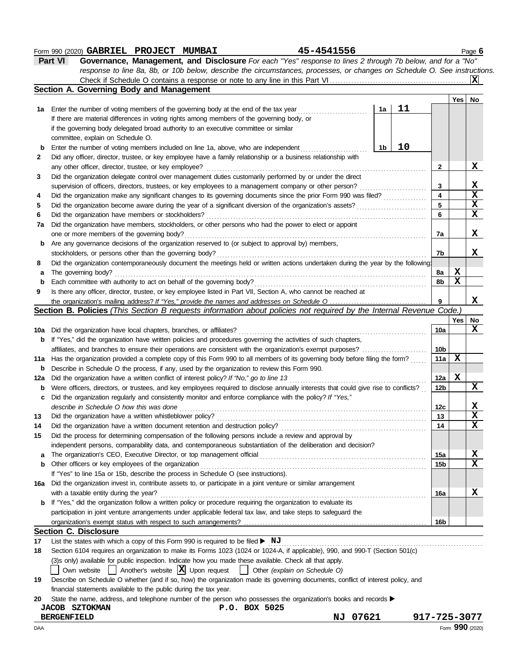| 45-4541556<br><b>PROJECT</b><br>Form 990 (2020) <b>GABRIEL</b><br><b>MUMBAI</b> | Page to |  |
|---------------------------------------------------------------------------------|---------|--|
|---------------------------------------------------------------------------------|---------|--|

|                                                                                                                                       | Governance, Management, and Disclosure For each "Yes" response to lines 2 through 7b below, and for a "No"<br>Part VI<br>response to line 8a, 8b, or 10b below, describe the circumstances, processes, or changes on Schedule O. See instructions. |    |  |    |                 |                         |                               |
|---------------------------------------------------------------------------------------------------------------------------------------|----------------------------------------------------------------------------------------------------------------------------------------------------------------------------------------------------------------------------------------------------|----|--|----|-----------------|-------------------------|-------------------------------|
|                                                                                                                                       |                                                                                                                                                                                                                                                    |    |  |    |                 |                         | <b>x</b>                      |
|                                                                                                                                       | Section A. Governing Body and Management                                                                                                                                                                                                           |    |  |    |                 |                         |                               |
|                                                                                                                                       |                                                                                                                                                                                                                                                    |    |  |    |                 | Yes                     | <b>No</b>                     |
|                                                                                                                                       | 1a Enter the number of voting members of the governing body at the end of the tax year                                                                                                                                                             | 1a |  | 11 |                 |                         |                               |
|                                                                                                                                       | If there are material differences in voting rights among members of the governing body, or                                                                                                                                                         |    |  |    |                 |                         |                               |
|                                                                                                                                       | if the governing body delegated broad authority to an executive committee or similar                                                                                                                                                               |    |  |    |                 |                         |                               |
|                                                                                                                                       | committee, explain on Schedule O.                                                                                                                                                                                                                  |    |  |    |                 |                         |                               |
| b                                                                                                                                     | Enter the number of voting members included on line 1a, above, who are independent                                                                                                                                                                 | 1b |  | 10 |                 |                         |                               |
| 2                                                                                                                                     | Did any officer, director, trustee, or key employee have a family relationship or a business relationship with                                                                                                                                     |    |  |    |                 |                         |                               |
|                                                                                                                                       | any other officer, director, trustee, or key employee?                                                                                                                                                                                             |    |  |    | 2               |                         | x                             |
| 3                                                                                                                                     | Did the organization delegate control over management duties customarily performed by or under the direct                                                                                                                                          |    |  |    |                 |                         |                               |
|                                                                                                                                       | supervision of officers, directors, trustees, or key employees to a management company or other person?                                                                                                                                            |    |  |    | 3               |                         | $rac{\mathbf{X}}{\mathbf{X}}$ |
| 4                                                                                                                                     | Did the organization make any significant changes to its governing documents since the prior Form 990 was filed?                                                                                                                                   |    |  |    | 4               |                         | $\overline{\mathbf{x}}$       |
| 5                                                                                                                                     | Did the organization become aware during the year of a significant diversion of the organization's assets?                                                                                                                                         |    |  |    | 5               |                         | $\mathbf x$                   |
| 6                                                                                                                                     | Did the organization have members or stockholders?                                                                                                                                                                                                 |    |  |    | 6               |                         |                               |
| 7a                                                                                                                                    | Did the organization have members, stockholders, or other persons who had the power to elect or appoint<br>one or more members of the governing body?                                                                                              |    |  |    |                 |                         | x                             |
|                                                                                                                                       | Are any governance decisions of the organization reserved to (or subject to approval by) members,                                                                                                                                                  |    |  |    | 7а              |                         |                               |
| b                                                                                                                                     | stockholders, or persons other than the governing body?                                                                                                                                                                                            |    |  |    | 7b              |                         | x                             |
| 8                                                                                                                                     | Did the organization contemporaneously document the meetings held or written actions undertaken during the year by the following:                                                                                                                  |    |  |    |                 |                         |                               |
| а                                                                                                                                     | The governing body?                                                                                                                                                                                                                                |    |  |    | 8а              | $\mathbf x$             |                               |
| b                                                                                                                                     | Each committee with authority to act on behalf of the governing body?                                                                                                                                                                              |    |  |    | 8b              | $\overline{\mathbf{x}}$ |                               |
| 9                                                                                                                                     | Is there any officer, director, trustee, or key employee listed in Part VII, Section A, who cannot be reached at                                                                                                                                   |    |  |    |                 |                         |                               |
|                                                                                                                                       |                                                                                                                                                                                                                                                    |    |  |    | 9               |                         | x                             |
|                                                                                                                                       | Section B. Policies (This Section B requests information about policies not required by the Internal Revenue Code.)                                                                                                                                |    |  |    |                 |                         |                               |
|                                                                                                                                       |                                                                                                                                                                                                                                                    |    |  |    |                 | Yes                     | No                            |
|                                                                                                                                       | 10a Did the organization have local chapters, branches, or affiliates?                                                                                                                                                                             |    |  |    | 10a             |                         | X                             |
|                                                                                                                                       | <b>b</b> If "Yes," did the organization have written policies and procedures governing the activities of such chapters,                                                                                                                            |    |  |    |                 |                         |                               |
|                                                                                                                                       |                                                                                                                                                                                                                                                    |    |  |    | 10b<br>11a      | x                       |                               |
| 11a                                                                                                                                   | Has the organization provided a complete copy of this Form 990 to all members of its governing body before filing the form?                                                                                                                        |    |  |    |                 |                         |                               |
| b                                                                                                                                     | Describe in Schedule O the process, if any, used by the organization to review this Form 990.                                                                                                                                                      |    |  |    |                 |                         |                               |
| 12a                                                                                                                                   | Did the organization have a written conflict of interest policy? If "No," go to line 13                                                                                                                                                            |    |  |    |                 | X                       | x                             |
| b                                                                                                                                     | Were officers, directors, or trustees, and key employees required to disclose annually interests that could give rise to conflicts?<br>Did the organization regularly and consistently monitor and enforce compliance with the policy? If "Yes,"   |    |  |    | 12 <sub>b</sub> |                         |                               |
| c                                                                                                                                     | describe in Schedule O how this was done                                                                                                                                                                                                           |    |  |    | 12c             |                         |                               |
| 13                                                                                                                                    | Did the organization have a written whistleblower policy?                                                                                                                                                                                          |    |  |    | 13              |                         | $rac{\mathbf{X}}{\mathbf{X}}$ |
| 14                                                                                                                                    |                                                                                                                                                                                                                                                    |    |  |    | 14              |                         | X                             |
| 15                                                                                                                                    | Did the process for determining compensation of the following persons include a review and approval by                                                                                                                                             |    |  |    |                 |                         |                               |
|                                                                                                                                       | independent persons, comparability data, and contemporaneous substantiation of the deliberation and decision?                                                                                                                                      |    |  |    |                 |                         |                               |
|                                                                                                                                       |                                                                                                                                                                                                                                                    |    |  |    | 15a             |                         | <u>x</u>                      |
| b                                                                                                                                     | Other officers or key employees of the organization                                                                                                                                                                                                |    |  |    | 15 <sub>b</sub> |                         | X                             |
|                                                                                                                                       | If "Yes" to line 15a or 15b, describe the process in Schedule O (see instructions).                                                                                                                                                                |    |  |    |                 |                         |                               |
| 16a                                                                                                                                   | Did the organization invest in, contribute assets to, or participate in a joint venture or similar arrangement                                                                                                                                     |    |  |    |                 |                         |                               |
|                                                                                                                                       | with a taxable entity during the year?                                                                                                                                                                                                             |    |  |    | 16a             |                         | x                             |
|                                                                                                                                       | If "Yes," did the organization follow a written policy or procedure requiring the organization to evaluate its                                                                                                                                     |    |  |    |                 |                         |                               |
|                                                                                                                                       | participation in joint venture arrangements under applicable federal tax law, and take steps to safeguard the                                                                                                                                      |    |  |    |                 |                         |                               |
|                                                                                                                                       |                                                                                                                                                                                                                                                    |    |  |    | 16b             |                         |                               |
| 17                                                                                                                                    | <b>Section C. Disclosure</b><br>List the states with which a copy of this Form 990 is required to be filed $\blacktriangleright\;$ NJ                                                                                                              |    |  |    |                 |                         |                               |
| 18                                                                                                                                    | Section 6104 requires an organization to make its Forms 1023 (1024 or 1024-A, if applicable), 990, and 990-T (Section 501(c)                                                                                                                       |    |  |    |                 |                         |                               |
|                                                                                                                                       | (3)s only) available for public inspection. Indicate how you made these available. Check all that apply.                                                                                                                                           |    |  |    |                 |                         |                               |
|                                                                                                                                       | Another's website $ \mathbf{X} $ Upon request<br>Own website<br>  Other (explain on Schedule O)                                                                                                                                                    |    |  |    |                 |                         |                               |
| Describe on Schedule O whether (and if so, how) the organization made its governing documents, conflict of interest policy, and<br>19 |                                                                                                                                                                                                                                                    |    |  |    |                 |                         |                               |
|                                                                                                                                       | financial statements available to the public during the tax year.                                                                                                                                                                                  |    |  |    |                 |                         |                               |
| 20                                                                                                                                    | State the name, address, and telephone number of the person who possesses the organization's books and records                                                                                                                                     |    |  |    |                 |                         |                               |
|                                                                                                                                       | P.O. BOX 5025<br><b>JACOB SZTOKMAN</b>                                                                                                                                                                                                             |    |  |    |                 |                         |                               |
|                                                                                                                                       | <b>BERGENFIELD</b><br>NJ 07621                                                                                                                                                                                                                     |    |  |    | 917-725-3077    |                         |                               |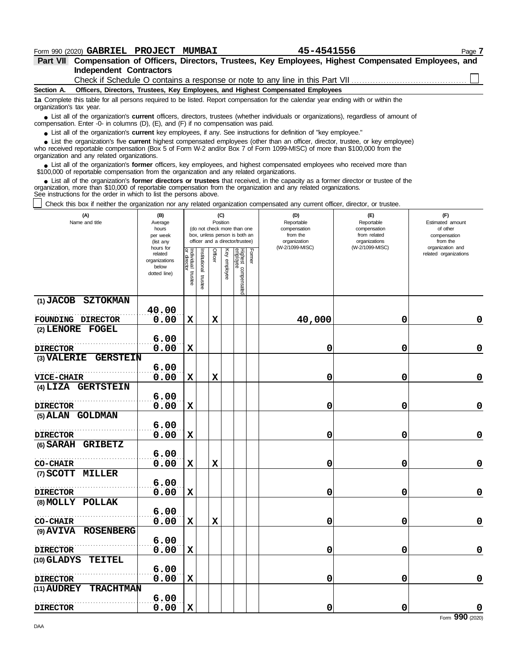**Form 990 (2020) GABRIEL PROJECT MUMBAI 45-4541556** Page 7 **Part VII Compensation of Officers, Directors, Trustees, Key Employees, Highest Compensated Employees, and Independent Contractors** Check if Schedule O contains a response or note to any line in this Part VII **Officers, Directors, Trustees, Key Employees, and Highest Compensated Employees Section A. 1a** Complete this table for all persons required to be listed. Report compensation for the calendar year ending with or within the organization's tax year. ■ List all of the organization's **current** officers, directors, trustees (whether individuals or organizations), regardless of amount of compensation. Enter -0- in columns (D), (E), and (F) if no compensation was paid. ● List all of the organization's **current** key employees, if any. See instructions for definition of "key employee." ■ List the organization's five **current** highest compensated employees (other than an officer, director, trustee, or key employee)<br> **•** received reportable compensation (Box 5 of Form W-2 and/or Box 7 of Form 1099-MISC) o who received reportable compensation (Box 5 of Form W-2 and/or Box 7 of Form 1099-MISC) of more than \$100,000 from the organization and any related organizations. ■ List all of the organization's **former** officers, key employees, and highest compensated employees who received more than<br>00,000 of reportable compensation from the organization and any related organizations \$100,000 of reportable compensation from the organization and any related organizations. ■ List all of the organization's **former directors or trustees** that received, in the capacity as a former director or trustee of the prization more than \$10,000 of reportable compensation from the organization and any re organization, more than \$10,000 of reportable compensation from the organization and any related organizations. See instructions for the order in which to list the persons above. Check this box if neither the organization nor any related organization compensated any current officer, director, or trustee. **(A) (B) (C) (D) (E) (F)** Name and title **Really Average** Reportable Reportable Average Estimated amount hours (do not check more than one compensation<br>from the compensation of other per week box, unless person is both an from related compensation organizations (list any officer and a director/trustee) organization from the (W-2/1099-MISC) hours for (W-2/1099-MISC) organization and or director Individual trustee Institutional trustee Key employee Former related organizations related stitutional ighest compensate Officer lividual organizations enployee below dotted line) trustee trustee **(1) JACOB SZTOKMAN 40.00** . . . . . . . . . . . . . . . . . . . . . . . . . . . . . . . . . . . . . . . . . . . . . . . . . . . . . . . **FOUNDING DIRECTOR 0.00 X X 40,000 0 0 (2) LENORE FOGEL 6.00** . . . . . . . . . . . . . . . . . . . . . . . . . . . . . . . . . . . . . . . . . . . . . . . . . . . . . . . **DIRECTOR 0.00 X 0 0 0 (3) VALERIE GERSTEIN 6.00** . . . . . . . . . . . . . . . . . . . . . . . . . . . . . . . . . . . . . . . . . . . . . . . . . . . . . . . **VICE-CHAIR 0.00 X X 0 0 0 (4) LIZA GERTSTEIN 6.00** . . . . . . . . . . . . . . . . . . . . . . . . . . . . . . . . . . . . . . . . . . . . . . . . . . . . . . . **DIRECTOR 0.00 X 0 0 0 (5) ALAN GOLDMAN 6.00** . . . . . . . . . . . . . . . . . . . . . . . . . . . . . . . . . . . . . . . . . . . . . . . . . . . . . . . **0.00 X 0 0 0 DIRECTOR (6) SARAH GRIBETZ 6.00** . . . . . . . . . . . . . . . . . . . . . . . . . . . . . . . . . . . . . . . . . . . . . . . . . . . . . . . **CO-CHAIR 0.00 X X 0 0 0 (7) SCOTT MILLER 6.00** . . . . . . . . . . . . . . . . . . . . . . . . . . . . . . . . . . . . . . . . . . . . . . . . . . . . . . . **DIRECTOR 0.00 X 0 0 0 (8) MOLLY POLLAK 6.00** . . . . . . . . . . . . . . . . . . . . . . . . . . . . . . . . . . . . . . . . . . . . . . . . . . . . . . . **CO-CHAIR 0.00 X X 0 0 0 (9) AVIVA ROSENBERG 6.00** . . . . . . . . . . . . . . . . . . . . . . . . . . . . . . . . . . . . . . . . . . . . . . . . . . . . . . . **DIRECTOR 0.00 X 0 0 0 (10) GLADYS TEITEL 6.00** . . . . . . . . . . . . . . . . . . . . . . . . . . . . . . . . . . . . . . . . . . . . . . . . . . . . . . . **DIRECTOR 0.00 X 0 0 0 (11) TRACHTMAN 6.00** . . . . . . . . . . . . . . . . . . . . . . . . . . . . . . . . . . . . . . . . . . . . . . . . . . . . . . . **0.00 X 0 0 0DIRECTOR**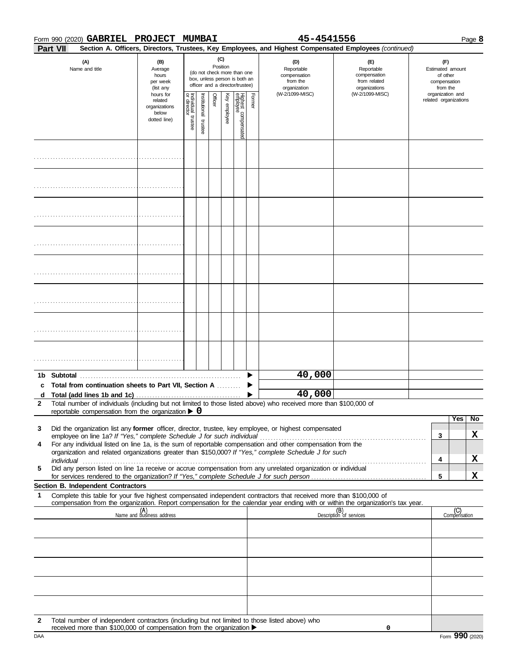#### Form 990 (2020) **GABRIEL PROJECT MUMBAI**  $45-4541556$  Page **8 GABRIEL PROJECT MUMBAI 45-4541556**

|   | <b>Part VII</b>                                                                                                                                                                                                                                                                                |                                                                                                                                                                                                                                                                                                                                                                |                                   |                      |         |              |                                                                 |        |        | Section A. Officers, Directors, Trustees, Key Employees, and Highest Compensated Employees (continued) |                                           |                    |
|---|------------------------------------------------------------------------------------------------------------------------------------------------------------------------------------------------------------------------------------------------------------------------------------------------|----------------------------------------------------------------------------------------------------------------------------------------------------------------------------------------------------------------------------------------------------------------------------------------------------------------------------------------------------------------|-----------------------------------|----------------------|---------|--------------|-----------------------------------------------------------------|--------|--------|--------------------------------------------------------------------------------------------------------|-------------------------------------------|--------------------|
|   | (A)<br>Name and title                                                                                                                                                                                                                                                                          | (C)<br>(D)<br>(B)<br>$(\mathsf{F})$<br>Position<br>Reportable<br>Average<br>Reportable<br>(do not check more than one<br>compensation<br>compensation<br>hours<br>box, unless person is both an<br>from the<br>from related<br>per week<br>officer and a director/trustee)<br>organization<br>organizations<br>(list any<br>(W-2/1099-MISC)<br>(W-2/1099-MISC) |                                   |                      |         |              | (F)<br>Estimated amount<br>of other<br>compensation<br>from the |        |        |                                                                                                        |                                           |                    |
|   |                                                                                                                                                                                                                                                                                                | hours for<br>related<br>organizations<br>below<br>dotted line)                                                                                                                                                                                                                                                                                                 | Individual trustee<br>or director | nstitutional trustee | Officer | Key employee | Highest compensated<br>employee                                 | Former |        |                                                                                                        | organization and<br>related organizations |                    |
|   |                                                                                                                                                                                                                                                                                                |                                                                                                                                                                                                                                                                                                                                                                |                                   |                      |         |              |                                                                 |        |        |                                                                                                        |                                           |                    |
|   |                                                                                                                                                                                                                                                                                                |                                                                                                                                                                                                                                                                                                                                                                |                                   |                      |         |              |                                                                 |        |        |                                                                                                        |                                           |                    |
|   |                                                                                                                                                                                                                                                                                                |                                                                                                                                                                                                                                                                                                                                                                |                                   |                      |         |              |                                                                 |        |        |                                                                                                        |                                           |                    |
|   |                                                                                                                                                                                                                                                                                                |                                                                                                                                                                                                                                                                                                                                                                |                                   |                      |         |              |                                                                 |        |        |                                                                                                        |                                           |                    |
|   |                                                                                                                                                                                                                                                                                                |                                                                                                                                                                                                                                                                                                                                                                |                                   |                      |         |              |                                                                 |        |        |                                                                                                        |                                           |                    |
|   |                                                                                                                                                                                                                                                                                                |                                                                                                                                                                                                                                                                                                                                                                |                                   |                      |         |              |                                                                 |        |        |                                                                                                        |                                           |                    |
|   |                                                                                                                                                                                                                                                                                                |                                                                                                                                                                                                                                                                                                                                                                |                                   |                      |         |              |                                                                 |        |        |                                                                                                        |                                           |                    |
|   |                                                                                                                                                                                                                                                                                                |                                                                                                                                                                                                                                                                                                                                                                |                                   |                      |         |              |                                                                 |        |        |                                                                                                        |                                           |                    |
|   | 1b Subtotal                                                                                                                                                                                                                                                                                    |                                                                                                                                                                                                                                                                                                                                                                |                                   |                      |         |              |                                                                 |        | 40,000 |                                                                                                        |                                           |                    |
| c | Total from continuation sheets to Part VII, Section A                                                                                                                                                                                                                                          |                                                                                                                                                                                                                                                                                                                                                                |                                   |                      |         |              |                                                                 |        | 40,000 |                                                                                                        |                                           |                    |
| 2 | Total number of individuals (including but not limited to those listed above) who received more than \$100,000 of                                                                                                                                                                              |                                                                                                                                                                                                                                                                                                                                                                |                                   |                      |         |              |                                                                 |        |        |                                                                                                        |                                           |                    |
|   | reportable compensation from the organization $\triangleright$ 0                                                                                                                                                                                                                               |                                                                                                                                                                                                                                                                                                                                                                |                                   |                      |         |              |                                                                 |        |        |                                                                                                        |                                           |                    |
| 3 | Did the organization list any former officer, director, trustee, key employee, or highest compensated                                                                                                                                                                                          |                                                                                                                                                                                                                                                                                                                                                                |                                   |                      |         |              |                                                                 |        |        |                                                                                                        |                                           | Yes   No           |
| 4 | employee on line 1a? If "Yes," complete Schedule J for such individual<br>For any individual listed on line 1a, is the sum of reportable compensation and other compensation from the<br>organization and related organizations greater than \$150,000? If "Yes," complete Schedule J for such |                                                                                                                                                                                                                                                                                                                                                                |                                   |                      |         |              |                                                                 |        |        |                                                                                                        | 3                                         | х                  |
|   | individual with the contract of the contract of the contract of the contract of the contract of the contract of the contract of the contract of the contract of the contract of the contract of the contract of the contract o                                                                 |                                                                                                                                                                                                                                                                                                                                                                |                                   |                      |         |              |                                                                 |        |        |                                                                                                        | 4                                         | х                  |
| 5 | Did any person listed on line 1a receive or accrue compensation from any unrelated organization or individual                                                                                                                                                                                  |                                                                                                                                                                                                                                                                                                                                                                |                                   |                      |         |              |                                                                 |        |        |                                                                                                        | 5                                         | $\mathbf{x}$       |
|   | ection B. Independent Contractors                                                                                                                                                                                                                                                              |                                                                                                                                                                                                                                                                                                                                                                |                                   |                      |         |              |                                                                 |        |        |                                                                                                        |                                           |                    |
| 1 | Complete this table for your five highest compensated independent contractors that received more than \$100,000 of                                                                                                                                                                             |                                                                                                                                                                                                                                                                                                                                                                |                                   |                      |         |              |                                                                 |        |        |                                                                                                        |                                           |                    |
|   | compensation from the organization. Report compensation for the calendar year ending with or within the organization's tax year.                                                                                                                                                               | (A)<br>Name and business address                                                                                                                                                                                                                                                                                                                               |                                   |                      |         |              |                                                                 |        |        | (B)<br>Description of services                                                                         |                                           | C)<br>Compensation |
|   |                                                                                                                                                                                                                                                                                                |                                                                                                                                                                                                                                                                                                                                                                |                                   |                      |         |              |                                                                 |        |        |                                                                                                        |                                           |                    |

|              | 40,000<br>1b Subtotal and the state of the state of the state of the state of the state of the state of the state of the                                                                                             |   |     |    |
|--------------|----------------------------------------------------------------------------------------------------------------------------------------------------------------------------------------------------------------------|---|-----|----|
| C.           | Total from continuation sheets to Part VII, Section A                                                                                                                                                                |   |     |    |
|              | 40,000                                                                                                                                                                                                               |   |     |    |
| $\mathbf{2}$ | Total number of individuals (including but not limited to those listed above) who received more than \$100,000 of<br>reportable compensation from the organization $\triangleright$ 0                                |   |     |    |
|              |                                                                                                                                                                                                                      |   | Yes | No |
| 3            | Did the organization list any <b>former</b> officer, director, trustee, key employee, or highest compensated<br>employee on line 1a? If "Yes," complete Schedule J for such individual                               |   |     | х  |
| 4            | For any individual listed on line 1a, is the sum of reportable compensation and other compensation from the<br>organization and related organizations greater than \$150,000? If "Yes," complete Schedule J for such |   |     |    |
|              | individual                                                                                                                                                                                                           |   |     | х  |
| 5            | Did any person listed on line 1a receive or accrue compensation from any unrelated organization or individual                                                                                                        |   |     |    |
|              |                                                                                                                                                                                                                      | 5 |     |    |
|              | Section B. Independent Contractors                                                                                                                                                                                   |   |     |    |

### **Section B. Independent Contractors**

| Complete this table for your five highest compensated independent contractors that received more than \$100,000 of               |
|----------------------------------------------------------------------------------------------------------------------------------|
| compensation from the organization. Report compensation for the calendar year ending with or within the organization's tax year. |

|                | Name and business address                                                                                                                                             | Description of services | Compensation |
|----------------|-----------------------------------------------------------------------------------------------------------------------------------------------------------------------|-------------------------|--------------|
|                |                                                                                                                                                                       |                         |              |
|                |                                                                                                                                                                       |                         |              |
|                |                                                                                                                                                                       |                         |              |
|                |                                                                                                                                                                       |                         |              |
|                |                                                                                                                                                                       |                         |              |
| $\overline{2}$ | Total number of independent contractors (including but not limited to those listed above) who<br>received more than \$100,000 of compensation from the organization ▶ | 0                       |              |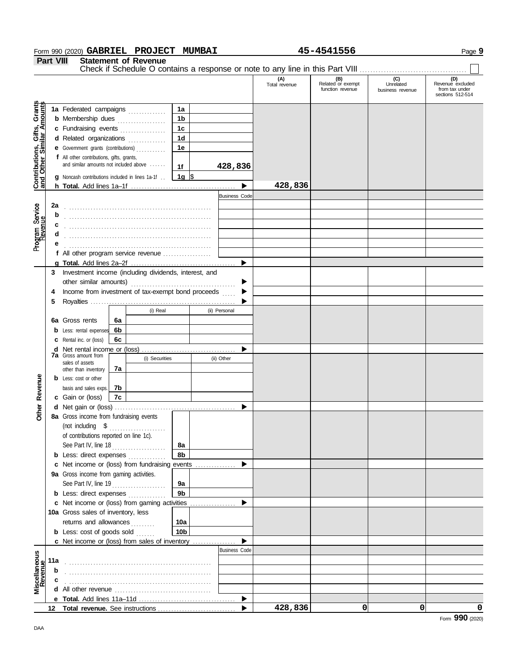|                                                          |                                                                                                                                                                                                                                                                                                                          |    |                |                |                      |                      | Check if Schedule O contains a response or note to any line in this Part VIII [11] [11] Check if Schedule O contains a response or note to any line in this Part VIII |                                      |                                                               |
|----------------------------------------------------------|--------------------------------------------------------------------------------------------------------------------------------------------------------------------------------------------------------------------------------------------------------------------------------------------------------------------------|----|----------------|----------------|----------------------|----------------------|-----------------------------------------------------------------------------------------------------------------------------------------------------------------------|--------------------------------------|---------------------------------------------------------------|
|                                                          |                                                                                                                                                                                                                                                                                                                          |    |                |                |                      | (A)<br>Total revenue | (B)<br>Related or exempt<br>function revenue                                                                                                                          | (C)<br>Unrelated<br>business revenue | (D)<br>Revenue excluded<br>from tax under<br>sections 512-514 |
|                                                          | 1a Federated campaigns                                                                                                                                                                                                                                                                                                   |    |                | 1a             |                      |                      |                                                                                                                                                                       |                                      |                                                               |
| Contributions, Gifts, Grant<br>and Other Similar Amounts | <b>b</b> Membership dues                                                                                                                                                                                                                                                                                                 |    |                | 1b             |                      |                      |                                                                                                                                                                       |                                      |                                                               |
|                                                          | c Fundraising events                                                                                                                                                                                                                                                                                                     |    |                | 1 <sub>c</sub> |                      |                      |                                                                                                                                                                       |                                      |                                                               |
|                                                          | d Related organizations                                                                                                                                                                                                                                                                                                  |    |                | 1 <sub>d</sub> |                      |                      |                                                                                                                                                                       |                                      |                                                               |
|                                                          | e Government grants (contributions)                                                                                                                                                                                                                                                                                      |    |                | 1е             |                      |                      |                                                                                                                                                                       |                                      |                                                               |
|                                                          | f All other contributions, gifts, grants,                                                                                                                                                                                                                                                                                |    |                |                |                      |                      |                                                                                                                                                                       |                                      |                                                               |
|                                                          | and similar amounts not included above                                                                                                                                                                                                                                                                                   |    |                | 1f             | 428,836              |                      |                                                                                                                                                                       |                                      |                                                               |
|                                                          | <b>g</b> Noncash contributions included in lines 1a-1f                                                                                                                                                                                                                                                                   |    |                | 1g  \$         |                      |                      |                                                                                                                                                                       |                                      |                                                               |
|                                                          |                                                                                                                                                                                                                                                                                                                          |    |                |                | ▶                    | 428,836              |                                                                                                                                                                       |                                      |                                                               |
|                                                          |                                                                                                                                                                                                                                                                                                                          |    |                |                | <b>Business Code</b> |                      |                                                                                                                                                                       |                                      |                                                               |
| ram Service<br>Revenue<br>2a                             |                                                                                                                                                                                                                                                                                                                          |    |                |                |                      |                      |                                                                                                                                                                       |                                      |                                                               |
|                                                          |                                                                                                                                                                                                                                                                                                                          |    |                |                |                      |                      |                                                                                                                                                                       |                                      |                                                               |
|                                                          |                                                                                                                                                                                                                                                                                                                          |    |                |                |                      |                      |                                                                                                                                                                       |                                      |                                                               |
| d                                                        |                                                                                                                                                                                                                                                                                                                          |    |                |                |                      |                      |                                                                                                                                                                       |                                      |                                                               |
| е                                                        |                                                                                                                                                                                                                                                                                                                          |    |                |                |                      |                      |                                                                                                                                                                       |                                      |                                                               |
|                                                          |                                                                                                                                                                                                                                                                                                                          |    |                |                |                      |                      |                                                                                                                                                                       |                                      |                                                               |
|                                                          |                                                                                                                                                                                                                                                                                                                          |    |                |                | ▶                    |                      |                                                                                                                                                                       |                                      |                                                               |
| 3                                                        | Investment income (including dividends, interest, and                                                                                                                                                                                                                                                                    |    |                |                |                      |                      |                                                                                                                                                                       |                                      |                                                               |
|                                                          |                                                                                                                                                                                                                                                                                                                          |    |                |                |                      |                      |                                                                                                                                                                       |                                      |                                                               |
| 4                                                        | Income from investment of tax-exempt bond proceeds                                                                                                                                                                                                                                                                       |    |                |                |                      |                      |                                                                                                                                                                       |                                      |                                                               |
| 5                                                        |                                                                                                                                                                                                                                                                                                                          |    |                |                | ▶                    |                      |                                                                                                                                                                       |                                      |                                                               |
|                                                          |                                                                                                                                                                                                                                                                                                                          |    | (i) Real       |                | (ii) Personal        |                      |                                                                                                                                                                       |                                      |                                                               |
|                                                          | 6a Gross rents                                                                                                                                                                                                                                                                                                           | 6a |                |                |                      |                      |                                                                                                                                                                       |                                      |                                                               |
|                                                          | <b>b</b> Less: rental expenses                                                                                                                                                                                                                                                                                           | 6b |                |                |                      |                      |                                                                                                                                                                       |                                      |                                                               |
|                                                          | C Rental inc. or (loss)                                                                                                                                                                                                                                                                                                  | 6с |                |                |                      |                      |                                                                                                                                                                       |                                      |                                                               |
|                                                          | <b>7a</b> Gross amount from                                                                                                                                                                                                                                                                                              |    |                |                |                      |                      |                                                                                                                                                                       |                                      |                                                               |
|                                                          | sales of assets                                                                                                                                                                                                                                                                                                          |    | (i) Securities |                | (ii) Other           |                      |                                                                                                                                                                       |                                      |                                                               |
|                                                          | other than inventory                                                                                                                                                                                                                                                                                                     | 7a |                |                |                      |                      |                                                                                                                                                                       |                                      |                                                               |
|                                                          | <b>b</b> Less: cost or other                                                                                                                                                                                                                                                                                             |    |                |                |                      |                      |                                                                                                                                                                       |                                      |                                                               |
|                                                          | basis and sales exps.                                                                                                                                                                                                                                                                                                    | 7b |                |                |                      |                      |                                                                                                                                                                       |                                      |                                                               |
|                                                          |                                                                                                                                                                                                                                                                                                                          |    |                |                |                      |                      |                                                                                                                                                                       |                                      |                                                               |
|                                                          | c Gain or (loss)                                                                                                                                                                                                                                                                                                         | 7c |                |                |                      |                      |                                                                                                                                                                       |                                      |                                                               |
|                                                          |                                                                                                                                                                                                                                                                                                                          |    |                |                | ▶                    |                      |                                                                                                                                                                       |                                      |                                                               |
|                                                          | 8a Gross income from fundraising events                                                                                                                                                                                                                                                                                  |    |                |                |                      |                      |                                                                                                                                                                       |                                      |                                                               |
|                                                          | (not including $\quad$ , $\quad$ , $\quad$ , $\quad$ , $\quad$ , $\quad$ , $\quad$ , $\quad$ , $\quad$ , $\quad$ , $\quad$ , $\quad$ , $\quad$ , $\quad$ , $\quad$ , $\quad$ , $\quad$ , $\quad$ , $\quad$ , $\quad$ , $\quad$ , $\quad$ , $\quad$ , $\quad$ , $\quad$ , $\quad$ , $\quad$ , $\quad$ , $\quad$ , $\quad$ |    |                |                |                      |                      |                                                                                                                                                                       |                                      |                                                               |
|                                                          | of contributions reported on line 1c).                                                                                                                                                                                                                                                                                   |    |                |                |                      |                      |                                                                                                                                                                       |                                      |                                                               |
|                                                          | See Part IV, line $18$                                                                                                                                                                                                                                                                                                   |    |                | 8а             |                      |                      |                                                                                                                                                                       |                                      |                                                               |
|                                                          | <b>b</b> Less: direct expenses                                                                                                                                                                                                                                                                                           |    |                | 8b             |                      |                      |                                                                                                                                                                       |                                      |                                                               |
|                                                          | <b>c</b> Net income or (loss) from fundraising events                                                                                                                                                                                                                                                                    |    |                |                |                      |                      |                                                                                                                                                                       |                                      |                                                               |
|                                                          | 9a Gross income from gaming activities.                                                                                                                                                                                                                                                                                  |    |                |                |                      |                      |                                                                                                                                                                       |                                      |                                                               |
|                                                          | See Part IV, line 19                                                                                                                                                                                                                                                                                                     |    | .              | 9а             |                      |                      |                                                                                                                                                                       |                                      |                                                               |
|                                                          | <b>b</b> Less: direct expenses                                                                                                                                                                                                                                                                                           |    |                | 9 <sub>b</sub> |                      |                      |                                                                                                                                                                       |                                      |                                                               |
|                                                          | <b>c</b> Net income or (loss) from gaming activities                                                                                                                                                                                                                                                                     |    |                |                |                      |                      |                                                                                                                                                                       |                                      |                                                               |
|                                                          | 10a Gross sales of inventory, less                                                                                                                                                                                                                                                                                       |    |                |                |                      |                      |                                                                                                                                                                       |                                      |                                                               |
|                                                          | returns and allowances                                                                                                                                                                                                                                                                                                   |    |                | 10a            |                      |                      |                                                                                                                                                                       |                                      |                                                               |
|                                                          | <b>b</b> Less: cost of goods sold                                                                                                                                                                                                                                                                                        |    |                | 10b            |                      |                      |                                                                                                                                                                       |                                      |                                                               |
|                                                          | <b>c</b> Net income or (loss) from sales of inventory                                                                                                                                                                                                                                                                    |    |                |                |                      |                      |                                                                                                                                                                       |                                      |                                                               |
|                                                          |                                                                                                                                                                                                                                                                                                                          |    |                |                | <b>Business Code</b> |                      |                                                                                                                                                                       |                                      |                                                               |
| 11a                                                      |                                                                                                                                                                                                                                                                                                                          |    |                |                |                      |                      |                                                                                                                                                                       |                                      |                                                               |
| cellaneous<br>Revenue<br>b                               |                                                                                                                                                                                                                                                                                                                          |    |                |                |                      |                      |                                                                                                                                                                       |                                      |                                                               |

 $\blacktriangleright$ 

 $\overline{\phantom{a}}$ 

**Form 990 (2020) GABRIEL PROJECT MUMBAI 45-4541556** Page 9

**d** All other revenue . . . . . . . . . . . . . . . . . . . . . . . . . . . . . . . . . . . . **e Total.** Add lines 11a–11d . . . . . . . . . . . . . . . . . . . . . . . . . . . . . . . . . . . . **Total revenue.** See instructions . . . . . . . . . . . . . . . . . . . . . . . . . . . . . **12**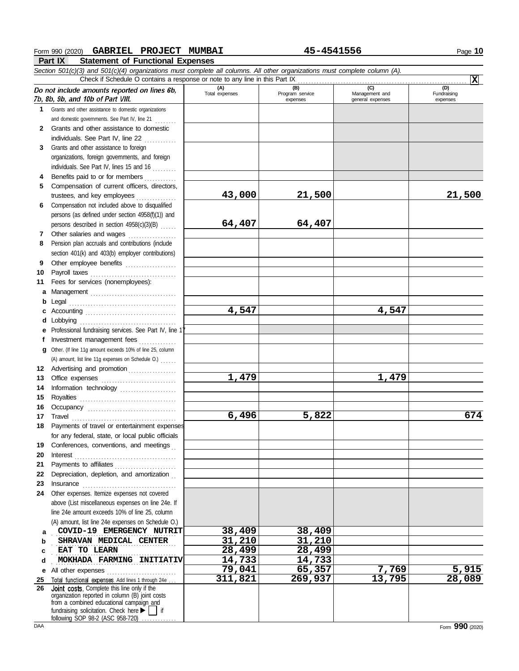### **X** Check if Schedule O contains a response or note to any line in this Part IX . . . . . . . . . . . . . . . . . . . . . . . . . . . . . . . . . . . . . . . . . . . . . . . . . . . . . . . . . . . . . . . (A) (B) (C) (C)<br>Total expenses Program service Management and expenses expenses Do not include amounts reported on lines 6b. **(A) (B) (C) (D)** Fundraising 7b, 8b, 9b, and 10b of Part VIII. expenses general expenses expenses **1** Grants and other assistance to domestic organizations and domestic governments. See Part IV, line 21 ....... **2** Grants and other assistance to domestic individuals. See Part IV, line 22 ............. **3** Grants and other assistance to foreign organizations, foreign governments, and foreign individuals. See Part IV, lines 15 and 16 **4** Benefits paid to or for members . . . . . . . . . . . . **5** Compensation of current officers, directors, **43,000 21,500 21,500** trustees, and key employees ............... **6** Compensation not included above to disqualified persons (as defined under section 4958(f)(1)) and **64,407 64,407** persons described in section 4958(c)(3)(B) . . . . . . Other salaries and wages .................. **7** Pension plan accruals and contributions (include **8** section 401(k) and 403(b) employer contributions) Other employee benefits ................... **9** Payroll taxes . . . . . . . . . . . . . . . . . . . . . . . . . . . . . . . . **10 11** Fees for services (nonemployees): **a** Management ................................. **b** Legal . . . . . . . . . . . . . . . . . . . . . . . . . . . . . . . . . . . . . . . . **4,547 4,547 c** Accounting . . . . . . . . . . . . . . . . . . . . . . . . . . . . . . . . . . **d** Lobbying . . . . . . . . . . . . . . . . . . . . . . . . . . . . . . . . . . . . **e** Professional fundraising services. See Part IV, line 17 Investment management fees .............. **f g** Other. (If line 11g amount exceeds 10% of line 25, column (A) amount, list line 11g expenses on Schedule O.) . . . . . . **12** Advertising and promotion . . . . . . . . . . . . . . . . . . **1,479 1,479 13** Office expenses . . . . . . . . . . . . . . . . . . . . . . . . . . . . Information technology ..................... **14** Royalties . . . . . . . . . . . . . . . . . . . . . . . . . . . . . . . . . . . . **15 16** Occupancy . . . . . . . . . . . . . . . . . . . . . . . . . . . . . . . . . **6,496 5,822 674 17** Travel . . . . . . . . . . . . . . . . . . . . . . . . . . . . . . . . . . . . . . . **18** Payments of travel or entertainment expenses for any federal, state, or local public officials **19** Conferences, conventions, and meetings . . **20** Interest . . . . . . . . . . . . . . . . . . . . . . . . . . . . . . . . . . . . . . Payments to affiliates . . . . . . . . . . . . . . . . . . . . . . . **21 22** Depreciation, depletion, and amortization . . **23** Insurance . . . . . . . . . . . . . . . . . . . . . . . . . . . . . . . . . . . **24** Other expenses. Itemize expenses not covered above (List miscellaneous expenses on line 24e. If line 24e amount exceeds 10% of line 25, column (A) amount, list line 24e expenses on Schedule O.) **a** . COVID-19 EMERGENCY NUTRIT 28,409 38,409 . . . . . . . . . . . . . . . . . . . . . . . . . . . . . . . . . . . . . . . . . . . . . . **SHRAVAN MEDICAL CENTER 31,210 31,210 b EAT TO LEARN 28,499 28,499**<br> **MOKHADA FARMING INITIATIV 14,733 14,733 c** . . . . . . . . . . . . . . . . . . . . . . . . . . . . . . . . . . . . . . . . . . . . . . **MOKHADA FARMING INITIATIV** 14,733 14,733 **d 79,041 65,357 7,769 5,915 e** All other expenses . . . . . . . . . . . . . . . . . . . . . . . . . . **311,821 269,937 13,795 28,089**25 Total functional expenses. Add lines 1 through 24e ... **26** Joint costs. Complete this line only if the organization reported in column (B) joint costs from a combined educational campaign and fundraising solicitation. Check here  $\blacktriangleright$   $\Box$  if following SOP 98-2 (ASC 958-720)

# **Form 990 (2020) GABRIEL PROJECT MUMBAI 45-4541556** Page 10

*Section 501(c)(3) and 501(c)(4) organizations must complete all columns. All other organizations must complete column (A).*

**Part IX Statement of Functional Expenses**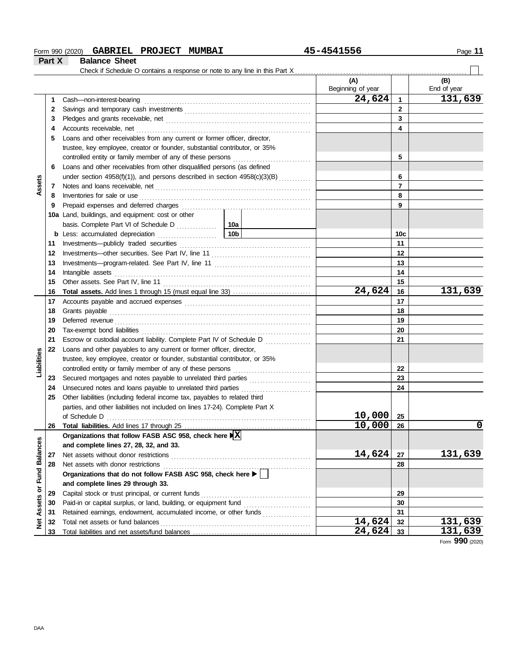#### Form 990 (2020) **GABRIEL PROJECT MUMBAI** 45-4541556 Page 11 **GABRIEL PROJECT MUMBAI 45-4541556**

**Part X Balance Sheet**

|                            |    |                                                                                                                        |  |    | (A)<br>Beginning of year |                | (B)<br>End of year |
|----------------------------|----|------------------------------------------------------------------------------------------------------------------------|--|----|--------------------------|----------------|--------------------|
|                            | 1. | Cash-non-interest-bearing                                                                                              |  |    | 24,624                   | 1              | 131,639            |
|                            | 2  |                                                                                                                        |  |    |                          | $\mathbf{2}$   |                    |
|                            | 3  |                                                                                                                        |  |    |                          | 3              |                    |
|                            | 4  |                                                                                                                        |  |    |                          | 4              |                    |
|                            | 5  | Loans and other receivables from any current or former officer, director,                                              |  |    |                          |                |                    |
|                            |    | trustee, key employee, creator or founder, substantial contributor, or 35%                                             |  |    |                          |                |                    |
|                            |    |                                                                                                                        |  |    |                          | 5              |                    |
|                            | 6  | Loans and other receivables from other disqualified persons (as defined                                                |  |    |                          |                |                    |
|                            |    | under section 4958(f)(1)), and persons described in section $4958(c)(3)(B)$                                            |  |    |                          | 6              |                    |
| Assets                     | 7  |                                                                                                                        |  |    |                          | $\overline{7}$ |                    |
|                            | 8  | Inventories for sale or use                                                                                            |  |    |                          | 8              |                    |
|                            | 9  | Prepaid expenses and deferred charges                                                                                  |  | 9  |                          |                |                    |
|                            |    | 10a Land, buildings, and equipment: cost or other                                                                      |  |    |                          |                |                    |
|                            |    |                                                                                                                        |  |    |                          |                |                    |
|                            |    | <b>b</b> Less: accumulated depreciation <i>[[[[[[[[[[[[[[[[[[[[[[[[[[[]]]]</i> ]]                                      |  |    | 10c                      |                |                    |
|                            | 11 | Investments-publicly traded securities                                                                                 |  | 11 |                          |                |                    |
|                            | 12 |                                                                                                                        |  | 12 |                          |                |                    |
|                            | 13 |                                                                                                                        |  |    | 13                       |                |                    |
|                            | 14 |                                                                                                                        |  | 14 |                          |                |                    |
|                            | 15 |                                                                                                                        |  |    | 15                       |                |                    |
|                            | 16 |                                                                                                                        |  |    | 24,624                   | 16             | 131,639            |
|                            | 17 |                                                                                                                        |  |    |                          | 17             |                    |
|                            | 18 |                                                                                                                        |  | 18 |                          |                |                    |
|                            | 19 |                                                                                                                        |  | 19 |                          |                |                    |
|                            | 20 |                                                                                                                        |  | 20 |                          |                |                    |
|                            | 21 | Escrow or custodial account liability. Complete Part IV of Schedule D                                                  |  |    |                          | 21             |                    |
|                            | 22 | Loans and other payables to any current or former officer, director,                                                   |  |    |                          |                |                    |
| Liabilities                |    | trustee, key employee, creator or founder, substantial contributor, or 35%                                             |  |    |                          |                |                    |
|                            |    | controlled entity or family member of any of these persons                                                             |  |    |                          | 22             |                    |
|                            | 23 |                                                                                                                        |  |    |                          | 23             |                    |
|                            | 24 | Unsecured notes and loans payable to unrelated third parties                                                           |  |    |                          | 24             |                    |
|                            | 25 | Other liabilities (including federal income tax, payables to related third                                             |  |    |                          |                |                    |
|                            |    | parties, and other liabilities not included on lines 17-24). Complete Part X                                           |  |    |                          |                |                    |
|                            |    |                                                                                                                        |  |    | 10,000                   | 25             |                    |
|                            | 26 |                                                                                                                        |  |    | 10,000                   | 26             | 0                  |
|                            |    | Organizations that follow FASB ASC 958, check here $ \mathbf{X} $                                                      |  |    |                          |                |                    |
| w                          |    | and complete lines 27, 28, 32, and 33.                                                                                 |  |    |                          |                |                    |
|                            | 27 | Net assets without donor restrictions                                                                                  |  |    | 14,624                   | 27             | 131,639            |
|                            | 28 | Net assets with donor restrictions                                                                                     |  |    |                          | 28             |                    |
|                            |    | Organizations that do not follow FASB ASC 958, check here $\blacktriangleright$                                        |  |    |                          |                |                    |
|                            |    | and complete lines 29 through 33.                                                                                      |  |    |                          |                |                    |
|                            |    |                                                                                                                        |  |    |                          |                |                    |
| Net Assets or Fund Balance | 29 | Capital stock or trust principal, or current funds<br>Paid-in or capital surplus, or land, building, or equipment fund |  |    |                          | 29             |                    |
|                            | 30 |                                                                                                                        |  |    |                          | 30             |                    |
|                            | 31 | Retained earnings, endowment, accumulated income, or other funds                                                       |  |    | 14,624                   | 31             |                    |
|                            | 32 |                                                                                                                        |  |    | 24,624                   | 32             | <u>131,639</u>     |
|                            | 33 |                                                                                                                        |  |    |                          | 33             | 131,639            |

Form **990** (2020)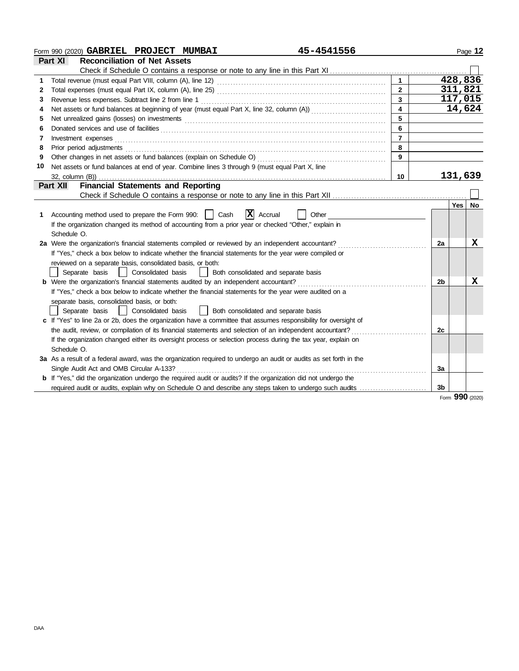|    | Form 990 (2020) GABRIEL PROJECT MUMBAI                                                                                                                                                                                         | 45-4541556 |                         |         |            | Page 12 |  |
|----|--------------------------------------------------------------------------------------------------------------------------------------------------------------------------------------------------------------------------------|------------|-------------------------|---------|------------|---------|--|
|    | <b>Reconciliation of Net Assets</b><br>Part XI                                                                                                                                                                                 |            |                         |         |            |         |  |
|    |                                                                                                                                                                                                                                |            |                         |         |            |         |  |
| 1. |                                                                                                                                                                                                                                |            | $\blacktriangleleft$    |         | 428,836    |         |  |
| 2  |                                                                                                                                                                                                                                |            | $\overline{2}$          |         | 311,821    |         |  |
| 3  |                                                                                                                                                                                                                                |            | $\overline{\mathbf{3}}$ | 117,015 |            |         |  |
| 4  | $\overline{\mathbf{4}}$                                                                                                                                                                                                        |            |                         |         |            |         |  |
| 5  | 5                                                                                                                                                                                                                              |            |                         |         |            |         |  |
| 6  |                                                                                                                                                                                                                                |            | 6                       |         |            |         |  |
| 7  | Investment expenses <b>constant expenses</b>                                                                                                                                                                                   |            | $\overline{7}$          |         |            |         |  |
| 8  | Prior period adjustments [11, 12] and the contract of the contract of the contract of the contract of the contract of the contract of the contract of the contract of the contract of the contract of the contract of the cont |            | 8                       |         |            |         |  |
| 9  |                                                                                                                                                                                                                                |            | 9                       |         |            |         |  |
| 10 | Net assets or fund balances at end of year. Combine lines 3 through 9 (must equal Part X, line                                                                                                                                 |            |                         |         |            |         |  |
|    | 10                                                                                                                                                                                                                             |            |                         |         |            |         |  |
|    | <b>Financial Statements and Reporting</b><br>Part XII                                                                                                                                                                          |            |                         |         |            |         |  |
|    |                                                                                                                                                                                                                                |            |                         |         |            |         |  |
|    |                                                                                                                                                                                                                                |            |                         |         | <b>Yes</b> | No      |  |
| 1. | $\mathbf{X}$ Accrual<br>Accounting method used to prepare the Form 990:    <br>Cash                                                                                                                                            | Other      |                         |         |            |         |  |
|    | If the organization changed its method of accounting from a prior year or checked "Other," explain in                                                                                                                          |            |                         |         |            |         |  |
|    | Schedule O.                                                                                                                                                                                                                    |            |                         |         |            |         |  |
|    | 2a Were the organization's financial statements compiled or reviewed by an independent accountant?                                                                                                                             |            |                         | 2a      |            | x       |  |
|    | If "Yes," check a box below to indicate whether the financial statements for the year were compiled or                                                                                                                         |            |                         |         |            |         |  |
|    | reviewed on a separate basis, consolidated basis, or both:                                                                                                                                                                     |            |                         |         |            |         |  |
|    | Separate basis<br>Consolidated basis<br>Both consolidated and separate basis                                                                                                                                                   |            |                         |         |            |         |  |
|    |                                                                                                                                                                                                                                |            |                         | 2b      |            | x       |  |
|    | If "Yes," check a box below to indicate whether the financial statements for the year were audited on a                                                                                                                        |            |                         |         |            |         |  |
|    | separate basis, consolidated basis, or both:                                                                                                                                                                                   |            |                         |         |            |         |  |
|    | Separate basis<br>Consolidated basis<br>Both consolidated and separate basis                                                                                                                                                   |            |                         |         |            |         |  |
|    | c If "Yes" to line 2a or 2b, does the organization have a committee that assumes responsibility for oversight of                                                                                                               |            |                         |         |            |         |  |
|    | the audit, review, or compilation of its financial statements and selection of an independent accountant?                                                                                                                      |            |                         | 2c      |            |         |  |
|    | If the organization changed either its oversight process or selection process during the tax year, explain on                                                                                                                  |            |                         |         |            |         |  |
|    | Schedule O.                                                                                                                                                                                                                    |            |                         |         |            |         |  |
|    | 3a As a result of a federal award, was the organization required to undergo an audit or audits as set forth in the                                                                                                             |            |                         |         |            |         |  |
|    | Single Audit Act and OMB Circular A-133?                                                                                                                                                                                       |            |                         | За      |            |         |  |
|    | <b>b</b> If "Yes," did the organization undergo the required audit or audits? If the organization did not undergo the                                                                                                          |            |                         |         |            |         |  |
|    |                                                                                                                                                                                                                                |            |                         | 3b      |            |         |  |
|    |                                                                                                                                                                                                                                |            |                         |         | nnn        |         |  |

Form **990** (2020)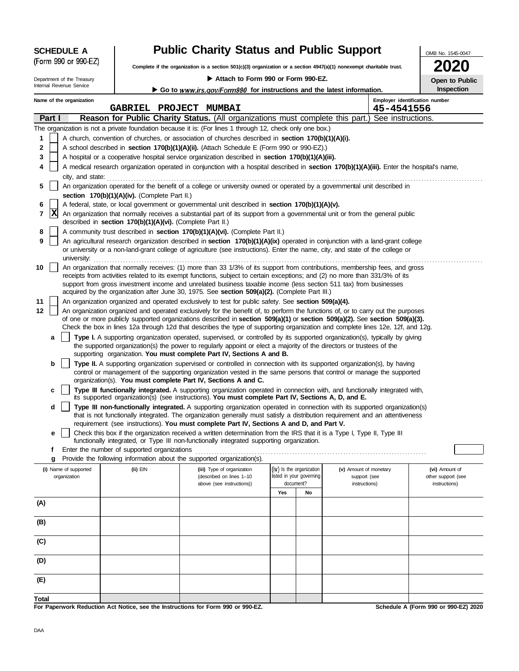|                                                                                          |                                                                                                                                               | <b>SCHEDULE A</b>                     |  |                                                                                                                                                                                                                                                                         | <b>Public Charity Status and Public Support</b>                                                                      |                                    |                          |    |                                        |                   | OMB No. 1545-0047                    |
|------------------------------------------------------------------------------------------|-----------------------------------------------------------------------------------------------------------------------------------------------|---------------------------------------|--|-------------------------------------------------------------------------------------------------------------------------------------------------------------------------------------------------------------------------------------------------------------------------|----------------------------------------------------------------------------------------------------------------------|------------------------------------|--------------------------|----|----------------------------------------|-------------------|--------------------------------------|
|                                                                                          |                                                                                                                                               | (Form 990 or 990-EZ)                  |  |                                                                                                                                                                                                                                                                         | Complete if the organization is a section 501(c)(3) organization or a section 4947(a)(1) nonexempt charitable trust. |                                    |                          |    |                                        |                   |                                      |
|                                                                                          |                                                                                                                                               | Department of the Treasury            |  |                                                                                                                                                                                                                                                                         |                                                                                                                      | Attach to Form 990 or Form 990-EZ. |                          |    |                                        |                   | Open to Public                       |
|                                                                                          |                                                                                                                                               | Internal Revenue Service              |  |                                                                                                                                                                                                                                                                         | Go to www.irs.gov/Form990 for instructions and the latest information.                                               |                                    |                          |    |                                        |                   | Inspection                           |
|                                                                                          |                                                                                                                                               | Name of the organization              |  | GABRIEL PROJECT MUMBAI                                                                                                                                                                                                                                                  |                                                                                                                      |                                    |                          |    |                                        | 45-4541556        | Employer identification number       |
| Part I<br>Reason for Public Charity Status. (All organizations must complete this part.) |                                                                                                                                               |                                       |  |                                                                                                                                                                                                                                                                         |                                                                                                                      |                                    |                          |    |                                        | See instructions. |                                      |
|                                                                                          |                                                                                                                                               |                                       |  | The organization is not a private foundation because it is: (For lines 1 through 12, check only one box.)                                                                                                                                                               |                                                                                                                      |                                    |                          |    |                                        |                   |                                      |
| 1                                                                                        |                                                                                                                                               |                                       |  | A church, convention of churches, or association of churches described in <b>section 170(b)(1)(A)(i).</b>                                                                                                                                                               |                                                                                                                      |                                    |                          |    |                                        |                   |                                      |
| 2                                                                                        |                                                                                                                                               |                                       |  | A school described in section 170(b)(1)(A)(ii). (Attach Schedule E (Form 990 or 990-EZ).)                                                                                                                                                                               |                                                                                                                      |                                    |                          |    |                                        |                   |                                      |
| 3                                                                                        |                                                                                                                                               |                                       |  | A hospital or a cooperative hospital service organization described in section 170(b)(1)(A)(iii).                                                                                                                                                                       |                                                                                                                      |                                    |                          |    |                                        |                   |                                      |
| 4                                                                                        | A medical research organization operated in conjunction with a hospital described in section 170(b)(1)(A)(iii). Enter the hospital's name,    |                                       |  |                                                                                                                                                                                                                                                                         |                                                                                                                      |                                    |                          |    |                                        |                   |                                      |
| 5                                                                                        | city, and state:<br>An organization operated for the benefit of a college or university owned or operated by a governmental unit described in |                                       |  |                                                                                                                                                                                                                                                                         |                                                                                                                      |                                    |                          |    |                                        |                   |                                      |
|                                                                                          |                                                                                                                                               |                                       |  | section 170(b)(1)(A)(iv). (Complete Part II.)                                                                                                                                                                                                                           |                                                                                                                      |                                    |                          |    |                                        |                   |                                      |
| 6                                                                                        |                                                                                                                                               |                                       |  | A federal, state, or local government or governmental unit described in section 170(b)(1)(A)(v).                                                                                                                                                                        |                                                                                                                      |                                    |                          |    |                                        |                   |                                      |
| 7                                                                                        | ΙX                                                                                                                                            |                                       |  | An organization that normally receives a substantial part of its support from a governmental unit or from the general public<br>described in section 170(b)(1)(A)(vi). (Complete Part II.)                                                                              |                                                                                                                      |                                    |                          |    |                                        |                   |                                      |
| 8                                                                                        |                                                                                                                                               |                                       |  | A community trust described in section 170(b)(1)(A)(vi). (Complete Part II.)                                                                                                                                                                                            |                                                                                                                      |                                    |                          |    |                                        |                   |                                      |
| 9                                                                                        |                                                                                                                                               | university:                           |  | An agricultural research organization described in section 170(b)(1)(A)(ix) operated in conjunction with a land-grant college<br>or university or a non-land-grant college of agriculture (see instructions). Enter the name, city, and state of the college or         |                                                                                                                      |                                    |                          |    |                                        |                   |                                      |
| 10                                                                                       |                                                                                                                                               |                                       |  | An organization that normally receives: (1) more than 33 1/3% of its support from contributions, membership fees, and gross                                                                                                                                             |                                                                                                                      |                                    |                          |    |                                        |                   |                                      |
|                                                                                          |                                                                                                                                               |                                       |  | receipts from activities related to its exempt functions, subject to certain exceptions; and (2) no more than 331/3% of its<br>support from gross investment income and unrelated business taxable income (less section 511 tax) from businesses                        |                                                                                                                      |                                    |                          |    |                                        |                   |                                      |
|                                                                                          |                                                                                                                                               |                                       |  | acquired by the organization after June 30, 1975. See section 509(a)(2). (Complete Part III.)                                                                                                                                                                           |                                                                                                                      |                                    |                          |    |                                        |                   |                                      |
| 11                                                                                       |                                                                                                                                               |                                       |  | An organization organized and operated exclusively to test for public safety. See section 509(a)(4).                                                                                                                                                                    |                                                                                                                      |                                    |                          |    |                                        |                   |                                      |
| 12                                                                                       |                                                                                                                                               |                                       |  | An organization organized and operated exclusively for the benefit of, to perform the functions of, or to carry out the purposes<br>of one or more publicly supported organizations described in section $509(a)(1)$ or section $509(a)(2)$ . See section $509(a)(3)$ . |                                                                                                                      |                                    |                          |    |                                        |                   |                                      |
|                                                                                          |                                                                                                                                               |                                       |  | Check the box in lines 12a through 12d that describes the type of supporting organization and complete lines 12e, 12f, and 12g.                                                                                                                                         |                                                                                                                      |                                    |                          |    |                                        |                   |                                      |
|                                                                                          | a                                                                                                                                             |                                       |  | <b>Type I.</b> A supporting organization operated, supervised, or controlled by its supported organization(s), typically by giving                                                                                                                                      |                                                                                                                      |                                    |                          |    |                                        |                   |                                      |
|                                                                                          |                                                                                                                                               |                                       |  | the supported organization(s) the power to regularly appoint or elect a majority of the directors or trustees of the<br>supporting organization. You must complete Part IV, Sections A and B.                                                                           |                                                                                                                      |                                    |                          |    |                                        |                   |                                      |
|                                                                                          | b                                                                                                                                             |                                       |  | <b>Type II.</b> A supporting organization supervised or controlled in connection with its supported organization(s), by having                                                                                                                                          |                                                                                                                      |                                    |                          |    |                                        |                   |                                      |
|                                                                                          |                                                                                                                                               |                                       |  | control or management of the supporting organization vested in the same persons that control or manage the supported<br>organization(s). You must complete Part IV, Sections A and C.                                                                                   |                                                                                                                      |                                    |                          |    |                                        |                   |                                      |
|                                                                                          | c                                                                                                                                             |                                       |  | Type III functionally integrated. A supporting organization operated in connection with, and functionally integrated with,                                                                                                                                              |                                                                                                                      |                                    |                          |    |                                        |                   |                                      |
|                                                                                          |                                                                                                                                               |                                       |  | its supported organization(s) (see instructions). You must complete Part IV, Sections A, D, and E.                                                                                                                                                                      |                                                                                                                      |                                    |                          |    |                                        |                   |                                      |
|                                                                                          | d                                                                                                                                             |                                       |  | Type III non-functionally integrated. A supporting organization operated in connection with its supported organization(s)<br>that is not functionally integrated. The organization generally must satisfy a distribution requirement and an attentiveness               |                                                                                                                      |                                    |                          |    |                                        |                   |                                      |
|                                                                                          |                                                                                                                                               |                                       |  | requirement (see instructions). You must complete Part IV, Sections A and D, and Part V.                                                                                                                                                                                |                                                                                                                      |                                    |                          |    |                                        |                   |                                      |
|                                                                                          | е                                                                                                                                             |                                       |  | Check this box if the organization received a written determination from the IRS that it is a Type I, Type II, Type III<br>functionally integrated, or Type III non-functionally integrated supporting organization.                                                    |                                                                                                                      |                                    |                          |    |                                        |                   |                                      |
|                                                                                          | f                                                                                                                                             |                                       |  | Enter the number of supported organizations                                                                                                                                                                                                                             |                                                                                                                      |                                    |                          |    |                                        |                   |                                      |
|                                                                                          | g                                                                                                                                             |                                       |  | Provide the following information about the supported organization(s).                                                                                                                                                                                                  |                                                                                                                      |                                    | (iv) Is the organization |    |                                        |                   |                                      |
|                                                                                          |                                                                                                                                               | (i) Name of supported<br>organization |  | (ii) EIN                                                                                                                                                                                                                                                                | (iii) Type of organization<br>(described on lines 1-10                                                               |                                    | listed in your governing |    | (v) Amount of monetary<br>support (see |                   | (vi) Amount of<br>other support (see |
|                                                                                          |                                                                                                                                               |                                       |  |                                                                                                                                                                                                                                                                         | above (see instructions))                                                                                            |                                    | document?                |    | instructions)                          |                   | instructions)                        |
| (A)                                                                                      |                                                                                                                                               |                                       |  |                                                                                                                                                                                                                                                                         |                                                                                                                      |                                    | Yes                      | No |                                        |                   |                                      |
|                                                                                          |                                                                                                                                               |                                       |  |                                                                                                                                                                                                                                                                         |                                                                                                                      |                                    |                          |    |                                        |                   |                                      |
| (B)                                                                                      |                                                                                                                                               |                                       |  |                                                                                                                                                                                                                                                                         |                                                                                                                      |                                    |                          |    |                                        |                   |                                      |
| (C)                                                                                      |                                                                                                                                               |                                       |  |                                                                                                                                                                                                                                                                         |                                                                                                                      |                                    |                          |    |                                        |                   |                                      |
| (D)                                                                                      |                                                                                                                                               |                                       |  |                                                                                                                                                                                                                                                                         |                                                                                                                      |                                    |                          |    |                                        |                   |                                      |
| (E)                                                                                      |                                                                                                                                               |                                       |  |                                                                                                                                                                                                                                                                         |                                                                                                                      |                                    |                          |    |                                        |                   |                                      |
| <b>Total</b>                                                                             |                                                                                                                                               |                                       |  |                                                                                                                                                                                                                                                                         |                                                                                                                      |                                    |                          |    |                                        |                   |                                      |
|                                                                                          |                                                                                                                                               |                                       |  | For Paperwork Reduction Act Notice, see the Instructions for Form 990 or 990-EZ.                                                                                                                                                                                        |                                                                                                                      |                                    |                          |    |                                        |                   | Schedule A (Form 990 or 990-EZ) 2020 |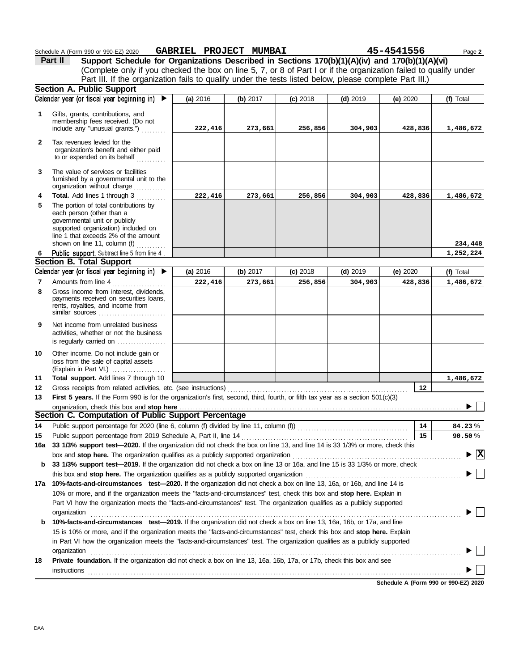**Part II Support Schedule for Organizations Described in Sections 170(b)(1)(A)(iv) and 170(b)(1)(A)(vi)** (Complete only if you checked the box on line 5, 7, or 8 of Part I or if the organization failed to qualify under Part III. If the organization fails to qualify under the tests listed below, please complete Part III.) **Section A. Public Support** Calendar year (or fiscal year beginning in)  $\blacktriangleright$ **(f)** Total **(a)** 2016 **(b)** 2017 **(c)** 2018 **(d)** 2019 **(e)** 2020 **1** Gifts, grants, contributions, and membership fees received. (Do not **222,416 273,661 256,856 304,903 428,836 1,486,672** include any "unusual grants.") . . . . . . . . . **2** Tax revenues levied for the organization's benefit and either paid to or expended on its behalf ........... **3** The value of services or facilities furnished by a governmental unit to the organization without charge ............ **222,416 273,661 256,856 304,903 428,836 1,486,672 Total.** Add lines 1 through  $3$  ........... **4 5** The portion of total contributions by each person (other than a governmental unit or publicly supported organization) included on line 1 that exceeds 2% of the amount shown on line 11, column (f)  $\ldots$ **234,448 6** Public support. Subtract line 5 from line 4. **1,252,224 Section B. Total Support (a)** 2016 **(b)** 2017 **(c)** 2018 **(d)** 2019 **(e)** 2020 **(f)** Total Amounts from line 4 . . . . . . . . . . **222,416 273,661 256,856 304,903 428,836 1,486,672 7** Gross income from interest, dividends, **8** payments received on securities loans, rents, royalties, and income from similar sources ................... Net income from unrelated business **9** activities, whether or not the business is regularly carried on ................. Other income. Do not include gain or **10** loss from the sale of capital assets (Explain in Part VI.) . . . . . . . . . . . . . . . . . **Total support.** Add lines 7 through 10 **11 1,486,672** Gross receipts from related activities, etc. (see instructions) ......... **12 12 13** First 5 years. If the Form 990 is for the organization's first, second, third, fourth, or fifth tax year as a section 501(c)(3) ▶ Γ organization, check this box and stop here **Section C. Computation of Public Support Percentage 14 14** Public support percentage for 2020 (line 6, column (f) divided by line 11, column (f)) . . . . . . . . . . . . . . . . . . . . . . . . . . . . . . . . . . . . . . . . . % **84.23 15** Public support percentage from 2019 Schedule A, Part II, line 14 . . . . . . . . . . . . . . . . . . . . . . . . . . . . . . . . . . . . . . . . . . . . . . . . . . . . . . . . . . . . . . **15** % **90.50 16a 33 1/3% support test—2020.** If the organization did not check the box on line 13, and line 14 is 33 1/3% or more, check this box and **stop here.** The organization qualifies as a publicly supported organization . . . . . . . . . . . . . . . . . . . . . . . . . . . . . . . . . . . . . . . . . . . . . . . . . . . . . . . . . . . . . . . **Xb 33 1/3% support test—2019.** If the organization did not check a box on line 13 or 16a, and line 15 is 33 1/3% or more, check this box and stop here. The organization qualifies as a publicly supported organization ...... **17a 10%-facts-and-circumstances test—2020.** If the organization did not check a box on line 13, 16a, or 16b, and line 14 is 10% or more, and if the organization meets the "facts-and-circumstances" test, check this box and **stop here.** Explain in Part VI how the organization meets the "facts-and-circumstances" test. The organization qualifies as a publicly supported organization entertainment and the contract of the contract of the contract of the contract of the contract of the contract of the contract of the contract of the contract of the contract of the contract of the contract of **b 10%-facts-and-circumstances test—2019.** If the organization did not check a box on line 13, 16a, 16b, or 17a, and line 15 is 10% or more, and if the organization meets the "facts-and-circumstances" test, check this box and **stop here.** Explain in Part VI how the organization meets the "facts-and-circumstances" test. The organization qualifies as a publicly supported organization and the contract of the contract of the contract of the contract of the contract of the contract of the contract of the contract of the contract of the contract of the contract of the contract of the contract **18 Private foundation.** If the organization did not check a box on line 13, 16a, 16b, 17a, or 17b, check this box and see instructions . . . . . . . . . . . . . . . . . . . . . . . . . . . . . . . . . . . . . . . . . . . . . . . . . . . . . . . . . . . . . . . . . . . . . . . . . . . . . . . . . . . . . . . . . . . . . . . . . . . . . . . . . . . . . . . . . . . . . . . . . . . . . . . . . . . . . . . . . . .

Schedule A (Form 990 or 990-EZ) 2020 Page **2 GABRIEL PROJECT MUMBAI 45-4541556**

**Schedule A (Form 990 or 990-EZ) 2020**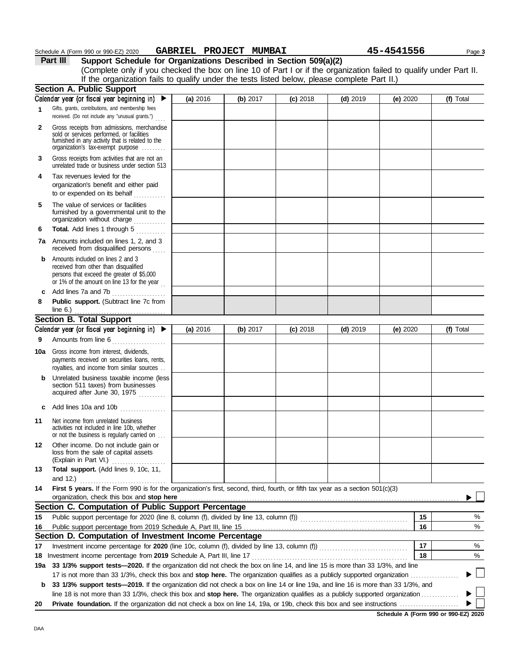| Schedule A (Form 990 or 990-EZ) 20: |
|-------------------------------------|
|-------------------------------------|

# Schedule A (Form 990 or 990-EZ) 2020 Page **3 GABRIEL PROJECT MUMBAI 45-4541556**

**Part III Support Schedule for Organizations Described in Section 509(a)(2)** (Complete only if you checked the box on line 10 of Part I or if the organization failed to qualify under Part II. **1 2** Gifts, grants, contributions, and membership fees received. (Do not include any "unusual grants.") . . . . Gross receipts from admissions, merchandise **Section A. Public Support (a)** 2016 **(b)** 2017 **(c)** 2018 **(d)** 2019 **(e)** 2020 **(f)** Total If the organization fails to qualify under the tests listed below, please complete Part II.) Calendar year (or fiscal year beginning in)

|     | sold or services performed, or facilities<br>furnished in any activity that is related to the<br>organization's tax-exempt purpose                                      |          |          |            |            |          |    |           |                |
|-----|-------------------------------------------------------------------------------------------------------------------------------------------------------------------------|----------|----------|------------|------------|----------|----|-----------|----------------|
| 3   | Gross receipts from activities that are not an<br>unrelated trade or business under section 513                                                                         |          |          |            |            |          |    |           |                |
| 4   | Tax revenues levied for the<br>organization's benefit and either paid<br>to or expended on its behalf                                                                   |          |          |            |            |          |    |           |                |
| 5   | The value of services or facilities<br>furnished by a governmental unit to the<br>organization without charge                                                           |          |          |            |            |          |    |           |                |
| 6   | Total. Add lines 1 through 5                                                                                                                                            |          |          |            |            |          |    |           |                |
|     | <b>7a</b> Amounts included on lines 1, 2, and 3<br>received from disqualified persons                                                                                   |          |          |            |            |          |    |           |                |
| b   | Amounts included on lines 2 and 3<br>received from other than disqualified<br>persons that exceed the greater of \$5,000<br>or 1% of the amount on line 13 for the year |          |          |            |            |          |    |           |                |
| C   | Add lines 7a and 7b<br>.                                                                                                                                                |          |          |            |            |          |    |           |                |
| 8   | Public support. (Subtract line 7c from<br>line $6.$ )                                                                                                                   |          |          |            |            |          |    |           |                |
|     | <b>Section B. Total Support</b>                                                                                                                                         |          |          |            |            |          |    |           |                |
|     | Calendar year (or fiscal year beginning in) $\blacktriangleright$                                                                                                       | (a) 2016 | (b) 2017 | $(c)$ 2018 | $(d)$ 2019 | (e) 2020 |    | (f) Total |                |
| 9   | Amounts from line 6<br>.                                                                                                                                                |          |          |            |            |          |    |           |                |
| 10a | Gross income from interest, dividends,<br>payments received on securities loans, rents,<br>royalties, and income from similar sources                                   |          |          |            |            |          |    |           |                |
| b   | Unrelated business taxable income (less<br>section 511 taxes) from businesses<br>acquired after June 30, 1975                                                           |          |          |            |            |          |    |           |                |
| c   | Add lines 10a and 10b                                                                                                                                                   |          |          |            |            |          |    |           |                |
| 11  | Net income from unrelated business<br>activities not included in line 10b, whether<br>or not the business is regularly carried on                                       |          |          |            |            |          |    |           |                |
| 12  | Other income. Do not include gain or<br>loss from the sale of capital assets<br>(Explain in Part VI.)                                                                   |          |          |            |            |          |    |           |                |
| 13  | Total support. (Add lines 9, 10c, 11,                                                                                                                                   |          |          |            |            |          |    |           |                |
|     | and 12.) <b>Example 2.1 Continuous</b>                                                                                                                                  |          |          |            |            |          |    |           |                |
| 14  | First 5 years. If the Form 990 is for the organization's first, second, third, fourth, or fifth tax year as a section 501(c)(3)                                         |          |          |            |            |          |    |           |                |
|     | organization, check this box and stop here                                                                                                                              |          |          |            |            |          |    |           |                |
|     | Section C. Computation of Public Support Percentage                                                                                                                     |          |          |            |            |          |    |           |                |
| 15  |                                                                                                                                                                         |          |          |            |            |          | 15 |           | %              |
| 16  | Section D. Computation of Investment Income Percentage                                                                                                                  |          |          |            |            |          | 16 |           | $\%$           |
| 17  |                                                                                                                                                                         |          |          |            |            |          | 17 |           | %              |
| 18  | Investment income percentage from 2019 Schedule A, Part III, line 17                                                                                                    |          |          |            |            |          | 18 |           | %              |
|     | 19a 33 1/3% support tests—2020. If the organization did not check the box on line 14, and line 15 is more than 33 1/3%, and line                                        |          |          |            |            |          |    |           |                |
|     | 17 is not more than 33 1/3%, check this box and stop here. The organization qualifies as a publicly supported organization                                              |          |          |            |            |          |    |           | $\mathbb{R}^n$ |
| b   | 33 1/3% support tests-2019. If the organization did not check a box on line 14 or line 19a, and line 16 is more than 33 1/3%, and                                       |          |          |            |            |          |    |           |                |
|     | line 18 is not more than 33 1/3%, check this box and stop here. The organization qualifies as a publicly supported organization                                         |          |          |            |            |          |    |           |                |

**20** Private foundation. If the organization did not check a box on line 14, 19a, or 19b, check this box and see instructions ..

 $\Box$  $\blacktriangleright$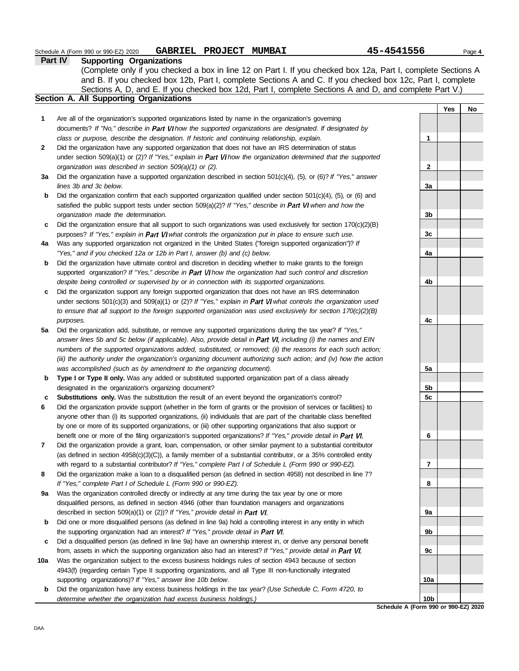**1**

**Yes No**

Schedule A (Form 990 or 990-EZ) 2020 Page **4 GABRIEL PROJECT MUMBAI 45-4541556**

# **Part IV Supporting Organizations**

Sections A, D, and E. If you checked box 12d, Part I, complete Sections A and D, and complete Part V.) (Complete only if you checked a box in line 12 on Part I. If you checked box 12a, Part I, complete Sections A and B. If you checked box 12b, Part I, complete Sections A and C. If you checked box 12c, Part I, complete

# **Section A. All Supporting Organizations**

- Are all of the organization's supported organizations listed by name in the organization's governing documents? If "No," describe in **Part VI** how the supported organizations are designated. If designated by *class or purpose, describe the designation. If historic and continuing relationship, explain.* **1**
- Did the organization have any supported organization that does not have an IRS determination of status under section 509(a)(1) or (2)? *If "Yes," explain in Part VI how the organization determined that the supported organization was described in section 509(a)(1) or (2).* **2**
- **3a** Did the organization have a supported organization described in section 501(c)(4), (5), or (6)? *If "Yes," answer lines 3b and 3c below.*
- **b** Did the organization confirm that each supported organization qualified under section 501(c)(4), (5), or (6) and satisfied the public support tests under section 509(a)(2)? If "Yes," describe in Part VI when and how the *organization made the determination.*
- **c** Did the organization ensure that all support to such organizations was used exclusively for section 170(c)(2)(B) purposes? If "Yes," explain in **Part VI** what controls the organization put in place to ensure such use.
- **4a** Was any supported organization not organized in the United States ("foreign supported organization")? *If "Yes," and if you checked 12a or 12b in Part I, answer (b) and (c) below.*
- **b** Did the organization have ultimate control and discretion in deciding whether to make grants to the foreign supported organization? *If "Yes," describe in Part VI how the organization had such control and discretion despite being controlled or supervised by or in connection with its supported organizations.*
- **c** Did the organization support any foreign supported organization that does not have an IRS determination under sections 501(c)(3) and 509(a)(1) or (2)? If "Yes," explain in **Part VI** what controls the organization used *to ensure that all support to the foreign supported organization was used exclusively for section 170(c)(2)(B) purposes.*
- **5a** Did the organization add, substitute, or remove any supported organizations during the tax year? *If "Yes,"* answer lines 5b and 5c below (if applicable). Also, provide detail in **Part VI**, including (i) the names and EIN *numbers of the supported organizations added, substituted, or removed; (ii) the reasons for each such action; (iii) the authority under the organization's organizing document authorizing such action; and (iv) how the action was accomplished (such as by amendment to the organizing document).*
- **b** Type I or Type II only. Was any added or substituted supported organization part of a class already designated in the organization's organizing document?
- **c Substitutions only.** Was the substitution the result of an event beyond the organization's control?
- **6** Did the organization provide support (whether in the form of grants or the provision of services or facilities) to anyone other than (i) its supported organizations, (ii) individuals that are part of the charitable class benefited by one or more of its supported organizations, or (iii) other supporting organizations that also support or benefit one or more of the filing organization's supported organizations? If "Yes," provide detail in **Part VI.**
- **7** Did the organization provide a grant, loan, compensation, or other similar payment to a substantial contributor (as defined in section 4958(c)(3)(C)), a family member of a substantial contributor, or a 35% controlled entity with regard to a substantial contributor? *If "Yes," complete Part I of Schedule L (Form 990 or 990-EZ).*
- **8** Did the organization make a loan to a disqualified person (as defined in section 4958) not described in line 7? *If "Yes," complete Part I of Schedule L (Form 990 or 990-EZ).*
- **9a** Was the organization controlled directly or indirectly at any time during the tax year by one or more disqualified persons, as defined in section 4946 (other than foundation managers and organizations described in section 509(a)(1) or (2))? *If "Yes," provide detail in*
- **b** Did one or more disqualified persons (as defined in line 9a) hold a controlling interest in any entity in which the supporting organization had an interest? *If "Yes," provide detail in*
- **c** Did a disqualified person (as defined in line 9a) have an ownership interest in, or derive any personal benefit from, assets in which the supporting organization also had an interest? *If "Yes," provide detail in Part VI.*
- **10a** Was the organization subject to the excess business holdings rules of section 4943 because of section 4943(f) (regarding certain Type II supporting organizations, and all Type III non-functionally integrated supporting organizations)? *If "Yes," answer line 10b below.*
- **b** Did the organization have any excess business holdings in the tax year? *(Use Schedule C, Form 4720, to determine whether the organization had excess business holdings.)*

DAA

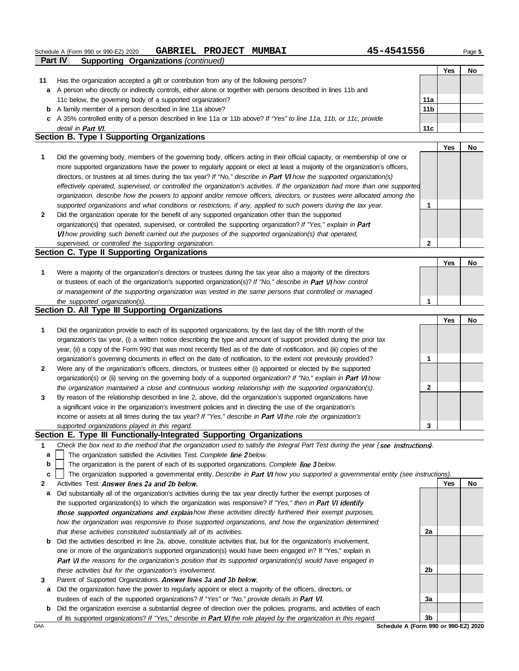## **Part IV Supporting Organizations** *(continued)* Schedule A (Form 990 or 990-EZ) 2020 Page **5 GABRIEL PROJECT MUMBAI 45-454155611** Has the organization accepted a gift or contribution from any of the following persons?

**a** A person who directly or indirectly controls, either alone or together with persons described in lines 11b and 11c below, the governing body of a supported organization?

**b** A family member of a person described in line 11a above?

**c** A 35% controlled entity of a person described in line 11a or 11b above? *If "Yes" to line 11a, 11b, or 11c, provide* detail in Part VI.

# **Section B. Type I Supporting Organizations**

- **2 1** *supported organizations and what conditions or restrictions, if any, applied to such powers during the tax year. organization, describe how the powers to appoint and/or remove officers, directors, or trustees were allocated among the effectively operated, supervised, or controlled the organization's activities. If the organization had more than one supported* directors, or trustees at all times during the tax year? *If "No," describe in Part VI how the supported organization(s)* more supported organizations have the power to regularly appoint or elect at least a majority of the organization's officers, Did the governing body, members of the governing body, officers acting in their official capacity, or membership of one or Did the organization operate for the benefit of any supported organization other than the supported organization(s) that operated, supervised, or controlled the supporting organization? *If "Yes," explain in*  **1 Yes No**
- *how providing such benefit carried out the purposes of the supported organization(s) that operated, supervised, or controlled the supporting organization.* **Section C. Type II Supporting Organizations 2**

### Were a majority of the organization's directors or trustees during the tax year also a majority of the directors or trustees of each of the organization's supported organization(s)? If "No," describe in Part VI how control **1** *or management of the supporting organization was vested in the same persons that controlled or managed the supported organization(s).* Yes | No **1**

# **Section D. All Type III Supporting Organizations**

|                |                                                                                                                        |   | Yes | Nο |
|----------------|------------------------------------------------------------------------------------------------------------------------|---|-----|----|
| 1              | Did the organization provide to each of its supported organizations, by the last day of the fifth month of the         |   |     |    |
|                | organization's tax year, (i) a written notice describing the type and amount of support provided during the prior tax  |   |     |    |
|                | year, (ii) a copy of the Form 990 that was most recently filed as of the date of notification, and (iii) copies of the |   |     |    |
|                | organization's governing documents in effect on the date of notification, to the extent not previously provided?       |   |     |    |
| $\overline{2}$ | Were any of the organization's officers, directors, or trustees either (i) appointed or elected by the supported       |   |     |    |
|                | organization(s) or (ii) serving on the governing body of a supported organization? If "No," explain in Part VI how     |   |     |    |
|                | the organization maintained a close and continuous working relationship with the supported organization(s).            |   |     |    |
| $\mathbf{3}$   | By reason of the relationship described in line 2, above, did the organization's supported organizations have          |   |     |    |
|                | a significant voice in the organization's investment policies and in directing the use of the organization's           |   |     |    |
|                | income or assets at all times during the tax year? If "Yes," describe in <b>Part VI</b> the role the organization's    |   |     |    |
|                | supported organizations played in this regard.                                                                         | 3 |     |    |

# **Section E. Type III Functionally-Integrated Supporting Organizations**

- **1** Check the box next to the method that the organization used to satisfy the Integral Part Test during the year (see instructions).
	- The organization satisfied the Activities Test. Complete **line 2** below. **a**
- The organization is the parent of each of its supported organizations. *Complete below.* **b**
- The organization supported a governmental entity. *Describe in how you supported a governmental entity (see instructions).* **c**
- **2** Activities Test. Answer lines 2a and 2b below.
- **a** Did substantially all of the organization's activities during the tax year directly further the exempt purposes of the supported organization(s) to which the organization was responsive? If "Yes," then in Part VI identify those supported organizations and explain how these activities directly furthered their exempt purposes, how the organization was responsive to those supported organizations, and how the organization determined *that these activities constituted substantially all of its activities.*
- **b** Did the activities described in line 2a, above, constitute activities that, but for the organization's involvement, one or more of the organization's supported organization(s) would have been engaged in? If "Yes," explain in **Part VI** the reasons for the organization's position that its supported organization(s) would have engaged in *these activities but for the organization's involvement.*
- **3** Parent of Supported Organizations. Answer lines 3a and 3b below.
- **a** Did the organization have the power to regularly appoint or elect a majority of the officers, directors, or trustees of each of the supported organizations? *If "Yes" or "No," provide details in*
- **b** Did the organization exercise a substantial degree of direction over the policies, programs, and activities of each of its supported organizations? If "Yes," describe in Part VI the role played by the organization in this regard.

**Yes No 2a 2b 3a 3b**

DAA **Schedule A (Form 990 or 990-EZ) 2020**

**Yes No**

**11a 11b**

**11c**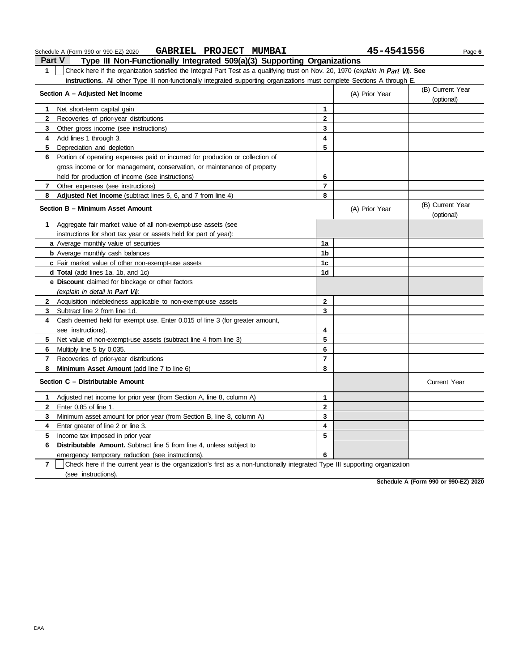|                | GABRIEL PROJECT MUMBAI<br>Schedule A (Form 990 or 990-EZ) 2020                                                                   |                | 45-4541556     | Page 6                         |
|----------------|----------------------------------------------------------------------------------------------------------------------------------|----------------|----------------|--------------------------------|
|                | Type III Non-Functionally Integrated 509(a)(3) Supporting Organizations<br><b>Part V</b>                                         |                |                |                                |
| $\mathbf{1}$   | Check here if the organization satisfied the Integral Part Test as a qualifying trust on Nov. 20, 1970 (explain in Part VI). See |                |                |                                |
|                | instructions. All other Type III non-functionally integrated supporting organizations must complete Sections A through E.        |                |                |                                |
|                | Section A - Adjusted Net Income                                                                                                  |                | (A) Prior Year | (B) Current Year<br>(optional) |
| 1              | Net short-term capital gain                                                                                                      | 1              |                |                                |
| $\mathbf{2}$   | Recoveries of prior-year distributions                                                                                           | $\overline{2}$ |                |                                |
| 3              | Other gross income (see instructions)                                                                                            | 3              |                |                                |
| 4              | Add lines 1 through 3.                                                                                                           | 4              |                |                                |
| 5              | Depreciation and depletion                                                                                                       | 5              |                |                                |
| 6              | Portion of operating expenses paid or incurred for production or collection of                                                   |                |                |                                |
|                | gross income or for management, conservation, or maintenance of property                                                         |                |                |                                |
|                | held for production of income (see instructions)                                                                                 | 6              |                |                                |
| $\mathbf{7}$   | Other expenses (see instructions)                                                                                                | $\overline{7}$ |                |                                |
| 8              | Adjusted Net Income (subtract lines 5, 6, and 7 from line 4)                                                                     | 8              |                |                                |
|                | Section B - Minimum Asset Amount                                                                                                 |                | (A) Prior Year | (B) Current Year<br>(optional) |
| $\mathbf{1}$   | Aggregate fair market value of all non-exempt-use assets (see                                                                    |                |                |                                |
|                | instructions for short tax year or assets held for part of year):                                                                |                |                |                                |
|                | a Average monthly value of securities                                                                                            | 1a             |                |                                |
|                | <b>b</b> Average monthly cash balances                                                                                           | 1b             |                |                                |
|                | c Fair market value of other non-exempt-use assets                                                                               | 1c             |                |                                |
|                | <b>d Total</b> (add lines 1a, 1b, and 1c)                                                                                        | 1d             |                |                                |
|                | <b>e</b> Discount claimed for blockage or other factors                                                                          |                |                |                                |
|                | (explain in detail in <b>Part VI</b> ):                                                                                          |                |                |                                |
| $\mathbf{2}$   | Acquisition indebtedness applicable to non-exempt-use assets                                                                     | $\mathbf 2$    |                |                                |
| 3              | Subtract line 2 from line 1d.                                                                                                    | 3              |                |                                |
| 4              | Cash deemed held for exempt use. Enter 0.015 of line 3 (for greater amount,                                                      |                |                |                                |
|                | see instructions).                                                                                                               | 4              |                |                                |
| 5              | Net value of non-exempt-use assets (subtract line 4 from line 3)                                                                 | 5              |                |                                |
| 6              | Multiply line 5 by 0.035.                                                                                                        | 6              |                |                                |
| 7              | Recoveries of prior-year distributions                                                                                           | $\overline{7}$ |                |                                |
| 8              | Minimum Asset Amount (add line 7 to line 6)                                                                                      | 8              |                |                                |
|                | Section C - Distributable Amount                                                                                                 |                |                | <b>Current Year</b>            |
| 1              | Adjusted net income for prior year (from Section A, line 8, column A)                                                            | 1              |                |                                |
| $\mathbf{2}$   | Enter 0.85 of line 1.                                                                                                            | $\mathbf{2}$   |                |                                |
| 3              | Minimum asset amount for prior year (from Section B, line 8, column A)                                                           | 3              |                |                                |
| 4              | Enter greater of line 2 or line 3.                                                                                               | 4              |                |                                |
| 5              | Income tax imposed in prior year                                                                                                 | 5              |                |                                |
| 6              | <b>Distributable Amount.</b> Subtract line 5 from line 4, unless subject to                                                      |                |                |                                |
|                | emergency temporary reduction (see instructions).                                                                                | 6              |                |                                |
| $\overline{7}$ | Check here if the current year is the organization's first as a non-functionally integrated Type III supporting organization     |                |                |                                |
|                | (see instructions).                                                                                                              |                |                |                                |

**Schedule A (Form 990 or 990-EZ) 2020**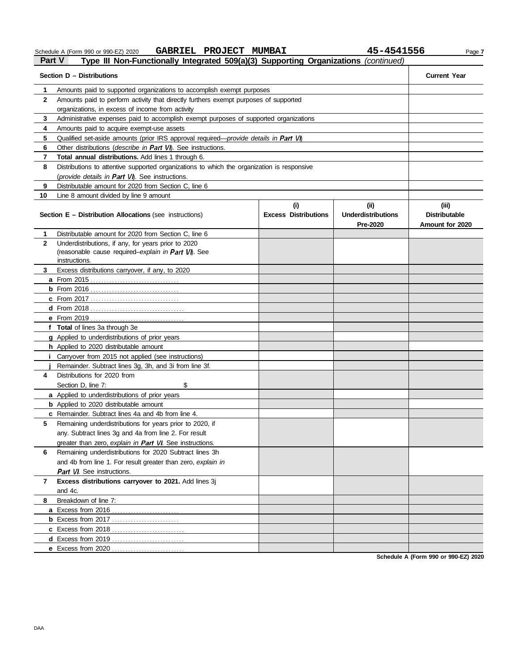#### Schedule A (Form 990 or 990-EZ) 2020 **GABRIEL PROJECT MUMBAI 45-4541556** Page 7 **GABRIEL PROJECT MUMBAI 45-4541556**

## **Part V Type III Non-Functionally Integrated 509(a)(3) Supporting Organizations** *(continued)*

|    | Section D - Distributions                                                                                                   |                                    |                                               | <b>Current Year</b>                              |
|----|-----------------------------------------------------------------------------------------------------------------------------|------------------------------------|-----------------------------------------------|--------------------------------------------------|
|    |                                                                                                                             |                                    |                                               |                                                  |
| 1  | Amounts paid to supported organizations to accomplish exempt purposes                                                       |                                    |                                               |                                                  |
| 2  | Amounts paid to perform activity that directly furthers exempt purposes of supported                                        |                                    |                                               |                                                  |
|    | organizations, in excess of income from activity                                                                            |                                    |                                               |                                                  |
| 3  | Administrative expenses paid to accomplish exempt purposes of supported organizations                                       |                                    |                                               |                                                  |
| 4  | Amounts paid to acquire exempt-use assets                                                                                   |                                    |                                               |                                                  |
| 5  | Qualified set-aside amounts (prior IRS approval required-provide details in Part VI)                                        |                                    |                                               |                                                  |
| 6  | Other distributions (describe in Part VI). See instructions.                                                                |                                    |                                               |                                                  |
| 7  | <b>Total annual distributions.</b> Add lines 1 through 6.                                                                   |                                    |                                               |                                                  |
| 8  | Distributions to attentive supported organizations to which the organization is responsive                                  |                                    |                                               |                                                  |
|    | (provide details in Part VI). See instructions.                                                                             |                                    |                                               |                                                  |
| 9  | Distributable amount for 2020 from Section C, line 6                                                                        |                                    |                                               |                                                  |
| 10 | Line 8 amount divided by line 9 amount                                                                                      |                                    |                                               |                                                  |
|    | <b>Section E - Distribution Allocations (see instructions)</b>                                                              | (i)<br><b>Excess Distributions</b> | (ii)<br><b>Underdistributions</b><br>Pre-2020 | (iii)<br><b>Distributable</b><br>Amount for 2020 |
| 1. | Distributable amount for 2020 from Section C, line 6                                                                        |                                    |                                               |                                                  |
| 2  | Underdistributions, if any, for years prior to 2020<br>(reasonable cause required–explain in Part VI). See<br>instructions. |                                    |                                               |                                                  |
| 3  | Excess distributions carryover, if any, to 2020                                                                             |                                    |                                               |                                                  |
|    |                                                                                                                             |                                    |                                               |                                                  |
|    |                                                                                                                             |                                    |                                               |                                                  |
|    | <b>c</b> From 2017                                                                                                          |                                    |                                               |                                                  |
|    |                                                                                                                             |                                    |                                               |                                                  |
|    |                                                                                                                             |                                    |                                               |                                                  |
|    | f Total of lines 3a through 3e                                                                                              |                                    |                                               |                                                  |
|    | <b>g</b> Applied to underdistributions of prior years                                                                       |                                    |                                               |                                                  |
|    | h Applied to 2020 distributable amount                                                                                      |                                    |                                               |                                                  |
|    | <i>i</i> Carryover from 2015 not applied (see instructions)                                                                 |                                    |                                               |                                                  |
|    | Remainder. Subtract lines 3g, 3h, and 3i from line 3f.                                                                      |                                    |                                               |                                                  |
| 4  | Distributions for 2020 from                                                                                                 |                                    |                                               |                                                  |
|    | \$<br>Section D, line 7:                                                                                                    |                                    |                                               |                                                  |
|    | a Applied to underdistributions of prior years                                                                              |                                    |                                               |                                                  |
|    | <b>b</b> Applied to 2020 distributable amount                                                                               |                                    |                                               |                                                  |
|    | c Remainder. Subtract lines 4a and 4b from line 4.                                                                          |                                    |                                               |                                                  |
| 5  | Remaining underdistributions for years prior to 2020, if                                                                    |                                    |                                               |                                                  |
|    | any. Subtract lines 3g and 4a from line 2. For result                                                                       |                                    |                                               |                                                  |
|    | greater than zero, explain in Part VI. See instructions.                                                                    |                                    |                                               |                                                  |
| 6  | Remaining underdistributions for 2020 Subtract lines 3h                                                                     |                                    |                                               |                                                  |
|    | and 4b from line 1. For result greater than zero, explain in                                                                |                                    |                                               |                                                  |
|    | Part VI. See instructions.                                                                                                  |                                    |                                               |                                                  |
| 7  | Excess distributions carryover to 2021. Add lines 3j                                                                        |                                    |                                               |                                                  |
|    | and 4c.                                                                                                                     |                                    |                                               |                                                  |
| 8  | Breakdown of line 7:                                                                                                        |                                    |                                               |                                                  |
|    |                                                                                                                             |                                    |                                               |                                                  |
|    | <b>b</b> Excess from 2017                                                                                                   |                                    |                                               |                                                  |
|    |                                                                                                                             |                                    |                                               |                                                  |
|    |                                                                                                                             |                                    |                                               |                                                  |
|    |                                                                                                                             |                                    |                                               |                                                  |

**Schedule A (Form 990 or 990-EZ) 2020**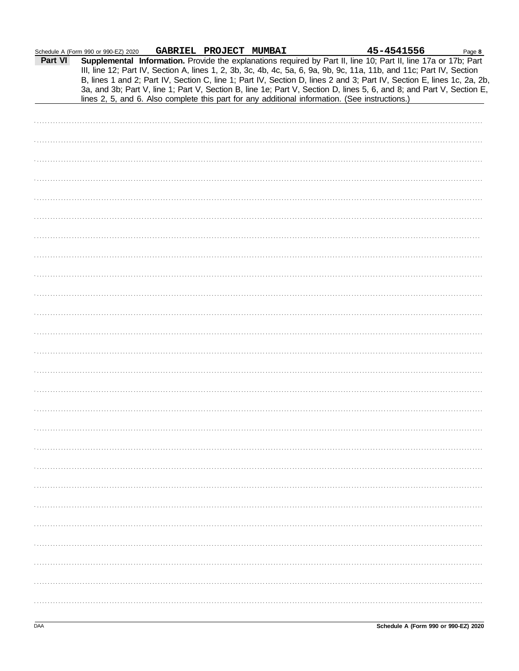|         | Schedule A (Form 990 or 990-EZ) 2020 |                                                                                                | GABRIEL PROJECT MUMBAI |  | 45-4541556                                                                                                                                                                                                                                                                                                                                                                                                                                                                                | Page 8 |
|---------|--------------------------------------|------------------------------------------------------------------------------------------------|------------------------|--|-------------------------------------------------------------------------------------------------------------------------------------------------------------------------------------------------------------------------------------------------------------------------------------------------------------------------------------------------------------------------------------------------------------------------------------------------------------------------------------------|--------|
| Part VI |                                      | lines 2, 5, and 6. Also complete this part for any additional information. (See instructions.) |                        |  | Supplemental Information. Provide the explanations required by Part II, line 10; Part II, line 17a or 17b; Part<br>III, line 12; Part IV, Section A, lines 1, 2, 3b, 3c, 4b, 4c, 5a, 6, 9a, 9b, 9c, 11a, 11b, and 11c; Part IV, Section<br>B, lines 1 and 2; Part IV, Section C, line 1; Part IV, Section D, lines 2 and 3; Part IV, Section E, lines 1c, 2a, 2b,<br>3a, and 3b; Part V, line 1; Part V, Section B, line 1e; Part V, Section D, lines 5, 6, and 8; and Part V, Section E, |        |
|         |                                      |                                                                                                |                        |  |                                                                                                                                                                                                                                                                                                                                                                                                                                                                                           |        |
|         |                                      |                                                                                                |                        |  |                                                                                                                                                                                                                                                                                                                                                                                                                                                                                           |        |
|         |                                      |                                                                                                |                        |  |                                                                                                                                                                                                                                                                                                                                                                                                                                                                                           |        |
|         |                                      |                                                                                                |                        |  |                                                                                                                                                                                                                                                                                                                                                                                                                                                                                           |        |
|         |                                      |                                                                                                |                        |  |                                                                                                                                                                                                                                                                                                                                                                                                                                                                                           |        |
|         |                                      |                                                                                                |                        |  |                                                                                                                                                                                                                                                                                                                                                                                                                                                                                           |        |
|         |                                      |                                                                                                |                        |  |                                                                                                                                                                                                                                                                                                                                                                                                                                                                                           |        |
|         |                                      |                                                                                                |                        |  |                                                                                                                                                                                                                                                                                                                                                                                                                                                                                           |        |
|         |                                      |                                                                                                |                        |  |                                                                                                                                                                                                                                                                                                                                                                                                                                                                                           |        |
|         |                                      |                                                                                                |                        |  |                                                                                                                                                                                                                                                                                                                                                                                                                                                                                           |        |
|         |                                      |                                                                                                |                        |  |                                                                                                                                                                                                                                                                                                                                                                                                                                                                                           |        |
|         |                                      |                                                                                                |                        |  |                                                                                                                                                                                                                                                                                                                                                                                                                                                                                           |        |
|         |                                      |                                                                                                |                        |  |                                                                                                                                                                                                                                                                                                                                                                                                                                                                                           |        |
|         |                                      |                                                                                                |                        |  |                                                                                                                                                                                                                                                                                                                                                                                                                                                                                           |        |
|         |                                      |                                                                                                |                        |  |                                                                                                                                                                                                                                                                                                                                                                                                                                                                                           |        |
|         |                                      |                                                                                                |                        |  |                                                                                                                                                                                                                                                                                                                                                                                                                                                                                           |        |
|         |                                      |                                                                                                |                        |  |                                                                                                                                                                                                                                                                                                                                                                                                                                                                                           |        |
|         |                                      |                                                                                                |                        |  |                                                                                                                                                                                                                                                                                                                                                                                                                                                                                           |        |
|         |                                      |                                                                                                |                        |  |                                                                                                                                                                                                                                                                                                                                                                                                                                                                                           |        |
|         |                                      |                                                                                                |                        |  |                                                                                                                                                                                                                                                                                                                                                                                                                                                                                           |        |
|         |                                      |                                                                                                |                        |  |                                                                                                                                                                                                                                                                                                                                                                                                                                                                                           |        |
|         |                                      |                                                                                                |                        |  |                                                                                                                                                                                                                                                                                                                                                                                                                                                                                           |        |
|         |                                      |                                                                                                |                        |  |                                                                                                                                                                                                                                                                                                                                                                                                                                                                                           |        |
|         |                                      |                                                                                                |                        |  |                                                                                                                                                                                                                                                                                                                                                                                                                                                                                           |        |
|         |                                      |                                                                                                |                        |  |                                                                                                                                                                                                                                                                                                                                                                                                                                                                                           |        |
|         |                                      |                                                                                                |                        |  |                                                                                                                                                                                                                                                                                                                                                                                                                                                                                           |        |
|         |                                      |                                                                                                |                        |  |                                                                                                                                                                                                                                                                                                                                                                                                                                                                                           |        |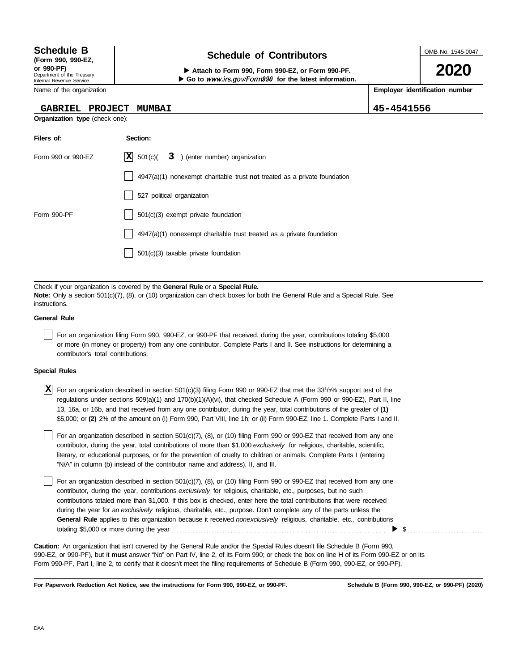Department of the Treasury Internal Revenue Service **(Form 990, 990-EZ,**

Name of the organization

# **Schedule of Contributors Schedule B**

**or 990-PF) Attach to Form 990, Form 990-EZ, or Form 990-PF.** Go to www.irs.gov/Form990 for the latest information. OMB No. 1545-0047

**2020**

**Employer identification number**

| GABRIEL PROJECT                       | <b>MUMBAI</b>                                                               | 45-4541556 |  |  |  |  |  |
|---------------------------------------|-----------------------------------------------------------------------------|------------|--|--|--|--|--|
| <b>Organization type (check one):</b> |                                                                             |            |  |  |  |  |  |
| Filers of:                            | Section:                                                                    |            |  |  |  |  |  |
| Form 990 or 990-EZ                    | $X = 501(c)$<br>3 ) (enter number) organization                             |            |  |  |  |  |  |
|                                       | $4947(a)(1)$ nonexempt charitable trust not treated as a private foundation |            |  |  |  |  |  |
|                                       | 527 political organization                                                  |            |  |  |  |  |  |
| Form 990-PF                           | $501(c)(3)$ exempt private foundation                                       |            |  |  |  |  |  |
|                                       | 4947(a)(1) nonexempt charitable trust treated as a private foundation       |            |  |  |  |  |  |
|                                       | $501(c)(3)$ taxable private foundation                                      |            |  |  |  |  |  |

Check if your organization is covered by the **General Rule** or a **Special Rule. Note:** Only a section 501(c)(7), (8), or (10) organization can check boxes for both the General Rule and a Special Rule. See instructions.

## **General Rule**

For an organization filing Form 990, 990-EZ, or 990-PF that received, during the year, contributions totaling \$5,000 or more (in money or property) from any one contributor. Complete Parts I and II. See instructions for determining a contributor's total contributions.

### **Special Rules**

 $\overline{X}$  For an organization described in section 501(c)(3) filing Form 990 or 990-EZ that met the 33<sup>1</sup>/3% support test of the regulations under sections 509(a)(1) and 170(b)(1)(A)(vi), that checked Schedule A (Form 990 or 990-EZ), Part II, line 13, 16a, or 16b, and that received from any one contributor, during the year, total contributions of the greater of **(1)** \$5,000; or **(2)** 2% of the amount on (i) Form 990, Part VIII, line 1h; or (ii) Form 990-EZ, line 1. Complete Parts I and II.

literary, or educational purposes, or for the prevention of cruelty to children or animals. Complete Parts I (entering For an organization described in section  $501(c)(7)$ , (8), or (10) filing Form 990 or 990-EZ that received from any one contributor, during the year, total contributions of more than \$1,000 *exclusively* for religious, charitable, scientific, "N/A" in column (b) instead of the contributor name and address), II, and III.

For an organization described in section 501(c)(7), (8), or (10) filing Form 990 or 990-EZ that received from any one contributor, during the year, contributions *exclusively* for religious, charitable, etc., purposes, but no such contributions totaled more than \$1,000. If this box is checked, enter here the total contributions that were received during the year for an *exclusively* religious, charitable, etc., purpose. Don't complete any of the parts unless the **General Rule** applies to this organization because it received *nonexclusively* religious, charitable, etc., contributions totaling \$5,000 or more during the year . . . . . . . . . . . . . . . . . . . . . . . . . . . . . . . . . . . . . . . . . . . . . . . . . . . . . . . . . . . . . . . . . . . . . . . . . . . . . . . . \$ . . . . . . . . . . . . . . . . . . . . . . . . . . . .

990-EZ, or 990-PF), but it **must** answer "No" on Part IV, line 2, of its Form 990; or check the box on line H of its Form 990-EZ or on its Form 990-PF, Part I, line 2, to certify that it doesn't meet the filing requirements of Schedule B (Form 990, 990-EZ, or 990-PF). **Caution:** An organization that isn't covered by the General Rule and/or the Special Rules doesn't file Schedule B (Form 990,

**For Paperwork Reduction Act Notice, see the instructions for Form 990, 990-EZ, or 990-PF.**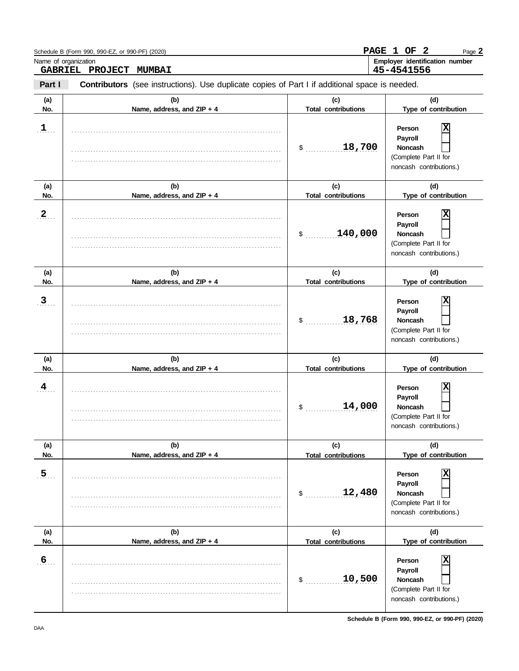|               | vanio or organization<br><b>GABRIEL PROJECT</b><br><b>MUMBAI</b>                               |                                                      | Linpioyer identification number<br>45-4541556                                                                 |
|---------------|------------------------------------------------------------------------------------------------|------------------------------------------------------|---------------------------------------------------------------------------------------------------------------|
| Part I        | Contributors (see instructions). Use duplicate copies of Part I if additional space is needed. |                                                      |                                                                                                               |
| (a)<br>No.    | (b)<br>Name, address, and ZIP + 4                                                              | (c)<br><b>Total contributions</b>                    | (d)<br>Type of contribution                                                                                   |
| $\mathbf{1}$  |                                                                                                | 18,700<br>$\sim$                                     | х<br>Person<br>Payroll<br>Noncash<br>(Complete Part II for<br>noncash contributions.)                         |
| (a)<br>No.    | (b)<br>Name, address, and ZIP + 4                                                              | (c)<br><b>Total contributions</b>                    | (d)<br>Type of contribution                                                                                   |
| 2             |                                                                                                | 140,000<br>$\sim$                                    | X<br>Person<br>Payroll<br>Noncash<br>(Complete Part II for<br>noncash contributions.)                         |
| (a)<br>No.    | (b)<br>Name, address, and ZIP + 4                                                              | (c)<br><b>Total contributions</b>                    | (d)<br>Type of contribution                                                                                   |
| $\frac{3}{2}$ |                                                                                                | 18,768<br>$\mathsf{\$}$                              | х<br>Person<br>Payroll<br>Noncash<br>(Complete Part II for<br>noncash contributions.)                         |
| (a)<br>No.    | (b)<br>Name, address, and ZIP + 4                                                              | (c)<br><b>Total contributions</b>                    | (d)<br>Type of contribution                                                                                   |
| $4_{\ldots}$  |                                                                                                | 14,000<br>$\mathsf{\$}$                              | X<br>Person<br>Payroll<br><b>Noncash</b><br>(Complete Part II for<br>noncash contributions.)                  |
| (a)<br>No.    | (b)<br>Name, address, and ZIP + 4                                                              | (c)<br><b>Total contributions</b>                    | (d)<br>Type of contribution                                                                                   |
| .5.           |                                                                                                | 12,480<br>\$                                         | X<br>Person<br>Payroll<br><b>Noncash</b><br>(Complete Part II for<br>noncash contributions.)                  |
| (a)           | (b)                                                                                            | (c)                                                  | (d)                                                                                                           |
| No.<br>.6     | Name, address, and ZIP + 4                                                                     | <b>Total contributions</b><br>10,500<br>$\mathsf{s}$ | Type of contribution<br>х<br>Person<br>Payroll<br>Noncash<br>(Complete Part II for<br>noncash contributions.) |

Schedule B (Form 990, 990-EZ, or 990-PF) (2020)<br>Name of organization

**Employer identification number** Page **2 PAGE 1 OF 2**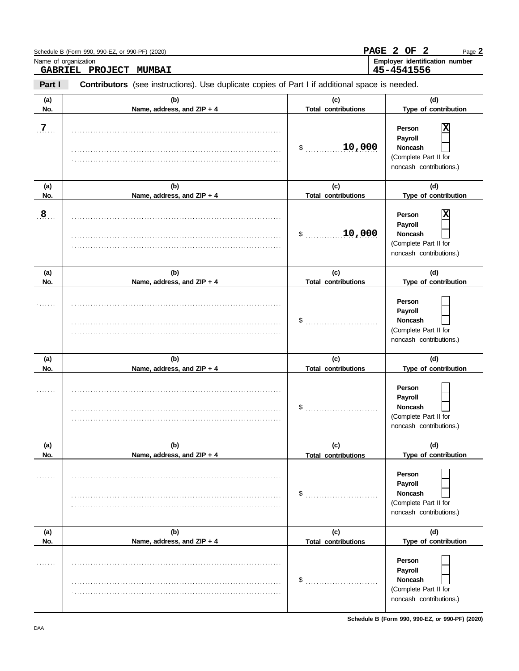**Name of organization** 

| PAGE 2 OF 2 |  | Page 2                                |
|-------------|--|---------------------------------------|
|             |  | <b>Employer identification number</b> |

**GABRIEL PROJECT MUMBAI**

**45-4541556**

| Part I         | Contributors (see instructions). Use duplicate copies of Part I if additional space is needed. |                                   |                                                                                                          |
|----------------|------------------------------------------------------------------------------------------------|-----------------------------------|----------------------------------------------------------------------------------------------------------|
| (a)<br>No.     | (b)<br>Name, address, and ZIP + 4                                                              | (c)<br><b>Total contributions</b> | (d)<br>Type of contribution                                                                              |
| .7.            |                                                                                                | 10,000<br>$\sim$                  | X<br>Person<br>Payroll<br><b>Noncash</b><br>(Complete Part II for<br>noncash contributions.)             |
| (a)<br>No.     | (b)<br>Name, address, and ZIP + 4                                                              | (c)<br><b>Total contributions</b> | (d)<br>Type of contribution                                                                              |
| 8 <sub>1</sub> |                                                                                                | 10,000                            | X<br>Person<br>Payroll<br>Noncash<br>(Complete Part II for<br>noncash contributions.)                    |
| (a)            | (b)                                                                                            | (c)                               | (d)                                                                                                      |
| No.            | Name, address, and ZIP + 4                                                                     | <b>Total contributions</b>        | Type of contribution                                                                                     |
|                |                                                                                                |                                   | Person<br>Payroll<br><b>Noncash</b><br>(Complete Part II for<br>noncash contributions.)                  |
| (a)            | (b)                                                                                            | (c)                               | (d)                                                                                                      |
| No.            | Name, address, and ZIP + 4                                                                     | <b>Total contributions</b><br>\$  | Type of contribution<br>Person<br>Payroll<br>Noncash<br>(Complete Part II for<br>noncash contributions.) |
| (a)<br>No.     | (b)<br>Name, address, and ZIP + 4                                                              | (c)<br><b>Total contributions</b> | (d)<br>Type of contribution                                                                              |
|                |                                                                                                | \$                                | Person<br>Payroll<br>Noncash<br>(Complete Part II for<br>noncash contributions.)                         |
| (a)<br>No.     | (b)<br>Name, address, and ZIP + 4                                                              | (c)<br><b>Total contributions</b> | (d)<br>Type of contribution                                                                              |
|                |                                                                                                | \$                                | Person<br>Payroll<br>Noncash<br>(Complete Part II for<br>noncash contributions.)                         |

**Schedule B (Form 990, 990-EZ, or 990-PF) (2020)**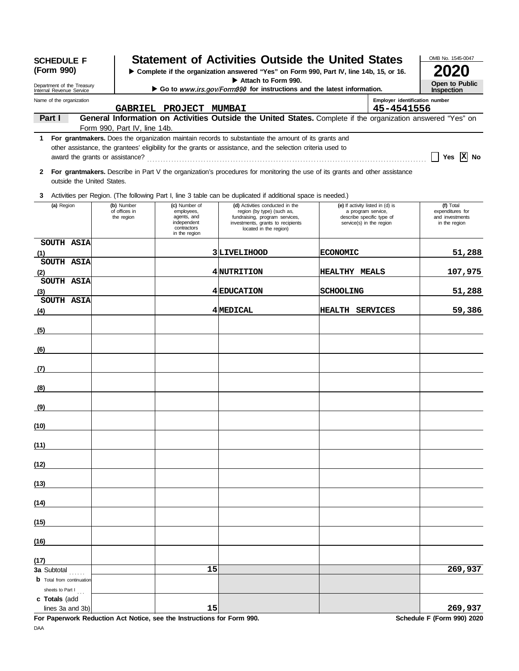| <b>SCHEDULE F</b>                                                                                                                                       |                                                                                          |                                           |                                                                                           |    | <b>Statement of Activities Outside the United States</b>                                                                                                                                                               |                                                                                                                 |                                              | OMB No. 1545-0047                                                 |
|---------------------------------------------------------------------------------------------------------------------------------------------------------|------------------------------------------------------------------------------------------|-------------------------------------------|-------------------------------------------------------------------------------------------|----|------------------------------------------------------------------------------------------------------------------------------------------------------------------------------------------------------------------------|-----------------------------------------------------------------------------------------------------------------|----------------------------------------------|-------------------------------------------------------------------|
| (Form 990)                                                                                                                                              | > Complete if the organization answered "Yes" on Form 990, Part IV, line 14b, 15, or 16. |                                           |                                                                                           |    |                                                                                                                                                                                                                        |                                                                                                                 |                                              |                                                                   |
| Attach to Form 990.<br>Department of the Treasury<br>Go to www.irs.gov/Form990 for instructions and the latest information.<br>Internal Revenue Service |                                                                                          |                                           |                                                                                           |    |                                                                                                                                                                                                                        |                                                                                                                 |                                              | Open to Public<br><b>Inspection</b>                               |
| Name of the organization                                                                                                                                |                                                                                          |                                           | GABRIEL PROJECT MUMBAI                                                                    |    |                                                                                                                                                                                                                        |                                                                                                                 | Employer identification number<br>45-4541556 |                                                                   |
| Part I                                                                                                                                                  |                                                                                          |                                           |                                                                                           |    | General Information on Activities Outside the United States. Complete if the organization answered "Yes" on                                                                                                            |                                                                                                                 |                                              |                                                                   |
|                                                                                                                                                         |                                                                                          | Form 990, Part IV, line 14b.              |                                                                                           |    |                                                                                                                                                                                                                        |                                                                                                                 |                                              |                                                                   |
| award the grants or assistance?                                                                                                                         |                                                                                          |                                           |                                                                                           |    | 1 For grantmakers. Does the organization maintain records to substantiate the amount of its grants and<br>other assistance, the grantees' eligibility for the grants or assistance, and the selection criteria used to |                                                                                                                 |                                              | <b>x</b><br><b>Yes</b><br>No                                      |
| outside the United States.                                                                                                                              |                                                                                          |                                           |                                                                                           |    | 2 For grantmakers. Describe in Part V the organization's procedures for monitoring the use of its grants and other assistance                                                                                          |                                                                                                                 |                                              |                                                                   |
| 3                                                                                                                                                       |                                                                                          |                                           |                                                                                           |    | Activities per Region. (The following Part I, line 3 table can be duplicated if additional space is needed.)                                                                                                           |                                                                                                                 |                                              |                                                                   |
| (a) Region                                                                                                                                              |                                                                                          | (b) Number<br>of offices in<br>the region | (c) Number of<br>employees,<br>agents, and<br>independent<br>contractors<br>in the region |    | (d) Activities conducted in the<br>region (by type) (such as,<br>fundraising, program services,<br>investments, grants to recipients<br>located in the region)                                                         | (e) If activity listed in (d) is<br>a program service,<br>describe specific type of<br>service(s) in the region |                                              | (f) Total<br>expenditures for<br>and investments<br>in the region |
| SOUTH ASIA<br>(1)                                                                                                                                       |                                                                                          |                                           |                                                                                           |    | 3LIVELIHOOD                                                                                                                                                                                                            | <b>ECONOMIC</b>                                                                                                 |                                              | 51,288                                                            |
| SOUTH ASIA<br>(2)                                                                                                                                       |                                                                                          |                                           |                                                                                           |    | <b>4 NUTRITION</b>                                                                                                                                                                                                     | <b>HEALTHY MEALS</b>                                                                                            |                                              | 107,975                                                           |
| SOUTH ASIA                                                                                                                                              |                                                                                          |                                           |                                                                                           |    |                                                                                                                                                                                                                        |                                                                                                                 |                                              |                                                                   |
| (3)<br>SOUTH ASIA                                                                                                                                       |                                                                                          |                                           |                                                                                           |    | <b>4 EDUCATION</b>                                                                                                                                                                                                     | <b>SCHOOLING</b>                                                                                                |                                              | 51,288                                                            |
| (4)                                                                                                                                                     |                                                                                          |                                           |                                                                                           |    | <b>4 MEDICAL</b>                                                                                                                                                                                                       | HEALTH SERVICES                                                                                                 |                                              | 59,386                                                            |
| (5)                                                                                                                                                     |                                                                                          |                                           |                                                                                           |    |                                                                                                                                                                                                                        |                                                                                                                 |                                              |                                                                   |
| (6)                                                                                                                                                     |                                                                                          |                                           |                                                                                           |    |                                                                                                                                                                                                                        |                                                                                                                 |                                              |                                                                   |
| (7)                                                                                                                                                     |                                                                                          |                                           |                                                                                           |    |                                                                                                                                                                                                                        |                                                                                                                 |                                              |                                                                   |
| (8)                                                                                                                                                     |                                                                                          |                                           |                                                                                           |    |                                                                                                                                                                                                                        |                                                                                                                 |                                              |                                                                   |
| (9)                                                                                                                                                     |                                                                                          |                                           |                                                                                           |    |                                                                                                                                                                                                                        |                                                                                                                 |                                              |                                                                   |
| (10)                                                                                                                                                    |                                                                                          |                                           |                                                                                           |    |                                                                                                                                                                                                                        |                                                                                                                 |                                              |                                                                   |
| (11)                                                                                                                                                    |                                                                                          |                                           |                                                                                           |    |                                                                                                                                                                                                                        |                                                                                                                 |                                              |                                                                   |
| (12)                                                                                                                                                    |                                                                                          |                                           |                                                                                           |    |                                                                                                                                                                                                                        |                                                                                                                 |                                              |                                                                   |
| (13)                                                                                                                                                    |                                                                                          |                                           |                                                                                           |    |                                                                                                                                                                                                                        |                                                                                                                 |                                              |                                                                   |
| (14)                                                                                                                                                    |                                                                                          |                                           |                                                                                           |    |                                                                                                                                                                                                                        |                                                                                                                 |                                              |                                                                   |
| (15)                                                                                                                                                    |                                                                                          |                                           |                                                                                           |    |                                                                                                                                                                                                                        |                                                                                                                 |                                              |                                                                   |
| (16)                                                                                                                                                    |                                                                                          |                                           |                                                                                           |    |                                                                                                                                                                                                                        |                                                                                                                 |                                              |                                                                   |
| (17)                                                                                                                                                    |                                                                                          |                                           |                                                                                           |    |                                                                                                                                                                                                                        |                                                                                                                 |                                              |                                                                   |
| 3a Subtotal<br><b>b</b> Total from continuation                                                                                                         |                                                                                          |                                           |                                                                                           | 15 |                                                                                                                                                                                                                        |                                                                                                                 |                                              | 269,937                                                           |
| sheets to Part I<br>c Totals (add<br>lines 3a and 3b)                                                                                                   |                                                                                          |                                           |                                                                                           | 15 |                                                                                                                                                                                                                        |                                                                                                                 |                                              | 269,937                                                           |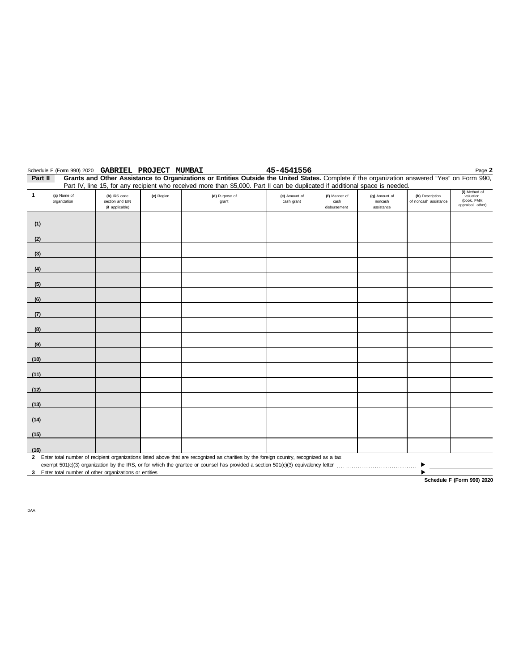| $\mathbf{1}$ | (a) Name of<br>organization | (b) IRS code<br>section and EIN<br>(if applicable) | (c) Region | (d) Purpose of<br>grant                                                                                                                   | (e) Amount of<br>cash grant | (f) Manner of<br>cash<br>disbursement | (g) Amount of<br>noncash<br>assistance | (h) Description<br>of noncash assistance | (i) Method of<br>valuation<br>(book, FMV,<br>appraisal, other) |
|--------------|-----------------------------|----------------------------------------------------|------------|-------------------------------------------------------------------------------------------------------------------------------------------|-----------------------------|---------------------------------------|----------------------------------------|------------------------------------------|----------------------------------------------------------------|
|              |                             |                                                    |            |                                                                                                                                           |                             |                                       |                                        |                                          |                                                                |
| (1)          |                             |                                                    |            |                                                                                                                                           |                             |                                       |                                        |                                          |                                                                |
| (2)          |                             |                                                    |            |                                                                                                                                           |                             |                                       |                                        |                                          |                                                                |
| (3)          |                             |                                                    |            |                                                                                                                                           |                             |                                       |                                        |                                          |                                                                |
| (4)          |                             |                                                    |            |                                                                                                                                           |                             |                                       |                                        |                                          |                                                                |
| (5)          |                             |                                                    |            |                                                                                                                                           |                             |                                       |                                        |                                          |                                                                |
| (6)          |                             |                                                    |            |                                                                                                                                           |                             |                                       |                                        |                                          |                                                                |
| (7)          |                             |                                                    |            |                                                                                                                                           |                             |                                       |                                        |                                          |                                                                |
| (8)          |                             |                                                    |            |                                                                                                                                           |                             |                                       |                                        |                                          |                                                                |
| (9)          |                             |                                                    |            |                                                                                                                                           |                             |                                       |                                        |                                          |                                                                |
| (10)         |                             |                                                    |            |                                                                                                                                           |                             |                                       |                                        |                                          |                                                                |
| (11)         |                             |                                                    |            |                                                                                                                                           |                             |                                       |                                        |                                          |                                                                |
| (12)         |                             |                                                    |            |                                                                                                                                           |                             |                                       |                                        |                                          |                                                                |
| (13)         |                             |                                                    |            |                                                                                                                                           |                             |                                       |                                        |                                          |                                                                |
| (14)         |                             |                                                    |            |                                                                                                                                           |                             |                                       |                                        |                                          |                                                                |
| (15)         |                             |                                                    |            |                                                                                                                                           |                             |                                       |                                        |                                          |                                                                |
| (16)         |                             |                                                    |            |                                                                                                                                           |                             |                                       |                                        |                                          |                                                                |
|              |                             |                                                    |            | 2 Enter total number of recipient organizations listed above that are recognized as charities by the foreign country, recognized as a tax |                             |                                       |                                        |                                          |                                                                |

Schedule F (Form 990) 2020 Page **2 GABRIEL PROJECT MUMBAI 45-4541556**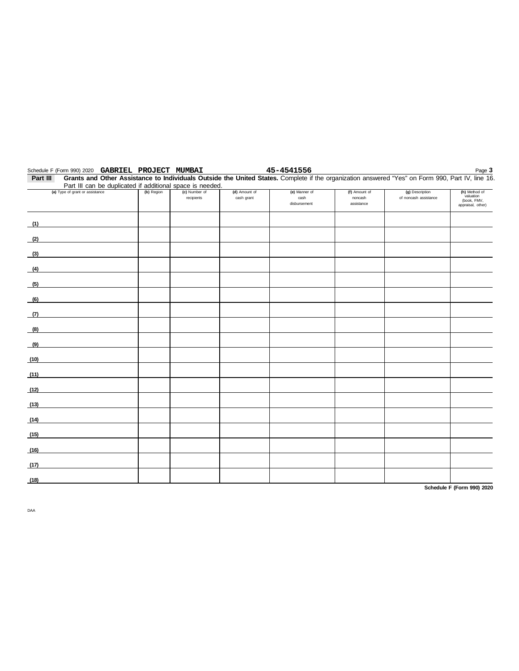| Part III can be duplicated if additional space is needed.<br>(a) Type of grant or assistance | (b) Region | (c) Number of | (d) Amount of | (e) Manner of        | (f) Amount of         | (g) Description       |                                                                |
|----------------------------------------------------------------------------------------------|------------|---------------|---------------|----------------------|-----------------------|-----------------------|----------------------------------------------------------------|
|                                                                                              |            | recipients    | cash grant    | cash<br>disbursement | noncash<br>assistance | of noncash assistance | (h) Method of<br>valuation<br>(book, FMV,<br>appraisal, other) |
| (1)                                                                                          |            |               |               |                      |                       |                       |                                                                |
| (2)                                                                                          |            |               |               |                      |                       |                       |                                                                |
| (3)                                                                                          |            |               |               |                      |                       |                       |                                                                |
| (4)                                                                                          |            |               |               |                      |                       |                       |                                                                |
| (5)<br><u> 1990 - Jan Barbara Barat, prima po</u>                                            |            |               |               |                      |                       |                       |                                                                |
| (6)                                                                                          |            |               |               |                      |                       |                       |                                                                |
| (7)                                                                                          |            |               |               |                      |                       |                       |                                                                |
| (8)                                                                                          |            |               |               |                      |                       |                       |                                                                |
| (9)                                                                                          |            |               |               |                      |                       |                       |                                                                |
| (10)                                                                                         |            |               |               |                      |                       |                       |                                                                |
| (11)<br><u> 1989 - Andrea Station Books, amerikansk politik (</u>                            |            |               |               |                      |                       |                       |                                                                |
| (12)                                                                                         |            |               |               |                      |                       |                       |                                                                |
| (13)<br><u> 1989 - Andrea State Barnett, amerikansk politiker (</u>                          |            |               |               |                      |                       |                       |                                                                |
| (14)<br><u> 1980 - Johann Barbara, martxa alemani</u> ar a                                   |            |               |               |                      |                       |                       |                                                                |
| (15)                                                                                         |            |               |               |                      |                       |                       |                                                                |
| (16)                                                                                         |            |               |               |                      |                       |                       |                                                                |
| (17)                                                                                         |            |               |               |                      |                       |                       |                                                                |
| (18)                                                                                         |            |               |               |                      |                       |                       |                                                                |

Schedule F (Form 990) 2020 GABRIEL PROJECT MUMBAI **32 AU 45-4541556** and the state of the state of the page 3 **Part III Grants and Other Assistance to Individuals Outside the United States.** Complete if the organization answered "Yes" on Form 990, Part IV, line 16. **GABRIEL PROJECT MUMBAI 45-4541556**

**Schedule F (Form 990) 2020**

DAA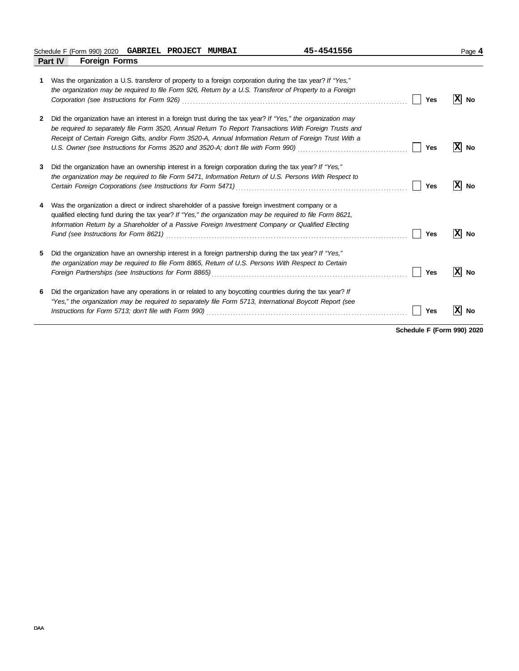|    |                |                      | Schedule F (Form 990) 2020 GABRIEL PROJECT MUMBAI | 45-4541556                                                                                                                                                                                                                                                                                                                        |            | Page 4   |
|----|----------------|----------------------|---------------------------------------------------|-----------------------------------------------------------------------------------------------------------------------------------------------------------------------------------------------------------------------------------------------------------------------------------------------------------------------------------|------------|----------|
|    | <b>Part IV</b> | <b>Foreign Forms</b> |                                                   |                                                                                                                                                                                                                                                                                                                                   |            |          |
| 1. |                |                      |                                                   | Was the organization a U.S. transferor of property to a foreign corporation during the tax year? If "Yes,"<br>the organization may be required to file Form 926, Return by a U.S. Transferor of Property to a Foreign                                                                                                             | <b>Yes</b> | x<br>No  |
| 2  |                |                      |                                                   | Did the organization have an interest in a foreign trust during the tax year? If "Yes," the organization may<br>be required to separately file Form 3520, Annual Return To Report Transactions With Foreign Trusts and<br>Receipt of Certain Foreign Gifts, and/or Form 3520-A, Annual Information Return of Foreign Trust With a | <b>Yes</b> | x<br>No  |
| 3  |                |                      |                                                   | Did the organization have an ownership interest in a foreign corporation during the tax year? If "Yes,"<br>the organization may be required to file Form 5471, Information Return of U.S. Persons With Respect to                                                                                                                 | <b>Yes</b> | x <br>No |
| 4  |                |                      |                                                   | Was the organization a direct or indirect shareholder of a passive foreign investment company or a<br>qualified electing fund during the tax year? If "Yes," the organization may be required to file Form 8621.<br>Information Return by a Shareholder of a Passive Foreign Investment Company or Qualified Electing             | <b>Yes</b> | ΙX<br>No |
| 5. |                |                      |                                                   | Did the organization have an ownership interest in a foreign partnership during the tax year? If "Yes,"<br>the organization may be required to file Form 8865, Return of U.S. Persons With Respect to Certain                                                                                                                     | <b>Yes</b> | x<br>No  |
| 6. |                |                      |                                                   | Did the organization have any operations in or related to any boycotting countries during the tax year? If<br>"Yes," the organization may be required to separately file Form 5713, International Boycott Report (see                                                                                                             | Yes        | No       |

**Schedule F (Form 990) 2020**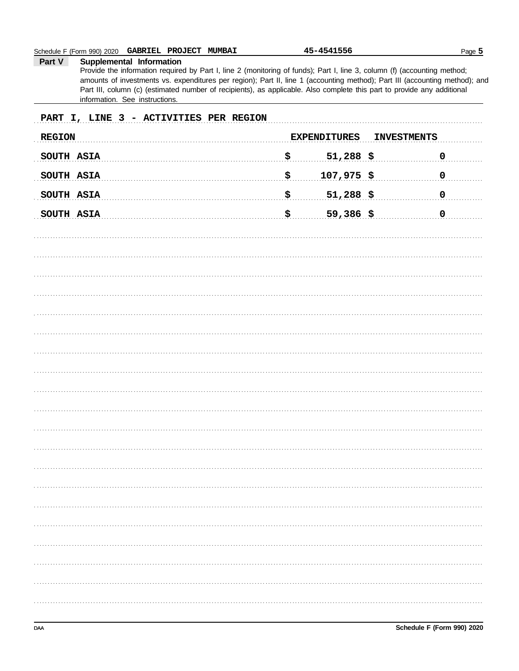|               | Schedule F (Form 990) 2020 GABRIEL PROJECT MUMBAI                                                                                                                                                                                                                                                                                                                                                                                                |      | 45-4541556          |                    | Page 5                   |
|---------------|--------------------------------------------------------------------------------------------------------------------------------------------------------------------------------------------------------------------------------------------------------------------------------------------------------------------------------------------------------------------------------------------------------------------------------------------------|------|---------------------|--------------------|--------------------------|
| Part V        | Supplemental Information<br>Provide the information required by Part I, line 2 (monitoring of funds); Part I, line 3, column (f) (accounting method;<br>amounts of investments vs. expenditures per region); Part II, line 1 (accounting method); Part III (accounting method); and<br>Part III, column (c) (estimated number of recipients), as applicable. Also complete this part to provide any additional<br>information. See instructions. |      |                     |                    |                          |
|               | PART I, LINE 3 - ACTIVITIES PER REGION                                                                                                                                                                                                                                                                                                                                                                                                           |      |                     |                    |                          |
| <b>REGION</b> |                                                                                                                                                                                                                                                                                                                                                                                                                                                  |      | <b>EXPENDITURES</b> | <b>INVESTMENTS</b> |                          |
| SOUTH ASIA    |                                                                                                                                                                                                                                                                                                                                                                                                                                                  | \$   | $51,288$ \$         |                    | $\mathbf 0$              |
| SOUTH ASIA    |                                                                                                                                                                                                                                                                                                                                                                                                                                                  | . \$ | $107,975$ \$        |                    | $\mathbf 0$              |
| SOUTH ASIA    |                                                                                                                                                                                                                                                                                                                                                                                                                                                  | . \$ | $51,288$ \$         |                    | $\overline{\phantom{a}}$ |
| SOUTH ASIA    |                                                                                                                                                                                                                                                                                                                                                                                                                                                  | ₿    | $59,386$ \$         |                    | $\overline{\mathbf{0}}$  |
|               |                                                                                                                                                                                                                                                                                                                                                                                                                                                  |      |                     |                    |                          |
|               |                                                                                                                                                                                                                                                                                                                                                                                                                                                  |      |                     |                    |                          |
|               |                                                                                                                                                                                                                                                                                                                                                                                                                                                  |      |                     |                    |                          |
|               |                                                                                                                                                                                                                                                                                                                                                                                                                                                  |      |                     |                    |                          |
|               |                                                                                                                                                                                                                                                                                                                                                                                                                                                  |      |                     |                    |                          |
|               |                                                                                                                                                                                                                                                                                                                                                                                                                                                  |      |                     |                    |                          |
|               |                                                                                                                                                                                                                                                                                                                                                                                                                                                  |      |                     |                    |                          |
|               |                                                                                                                                                                                                                                                                                                                                                                                                                                                  |      |                     |                    |                          |
|               |                                                                                                                                                                                                                                                                                                                                                                                                                                                  |      |                     |                    |                          |
|               |                                                                                                                                                                                                                                                                                                                                                                                                                                                  |      |                     |                    |                          |
|               |                                                                                                                                                                                                                                                                                                                                                                                                                                                  |      |                     |                    |                          |
|               |                                                                                                                                                                                                                                                                                                                                                                                                                                                  |      |                     |                    |                          |
|               |                                                                                                                                                                                                                                                                                                                                                                                                                                                  |      |                     |                    |                          |
|               |                                                                                                                                                                                                                                                                                                                                                                                                                                                  |      |                     |                    |                          |
|               |                                                                                                                                                                                                                                                                                                                                                                                                                                                  |      |                     |                    |                          |
|               |                                                                                                                                                                                                                                                                                                                                                                                                                                                  |      |                     |                    |                          |
|               |                                                                                                                                                                                                                                                                                                                                                                                                                                                  |      |                     |                    |                          |
|               |                                                                                                                                                                                                                                                                                                                                                                                                                                                  |      |                     |                    |                          |
|               |                                                                                                                                                                                                                                                                                                                                                                                                                                                  |      |                     |                    |                          |
|               |                                                                                                                                                                                                                                                                                                                                                                                                                                                  |      |                     |                    |                          |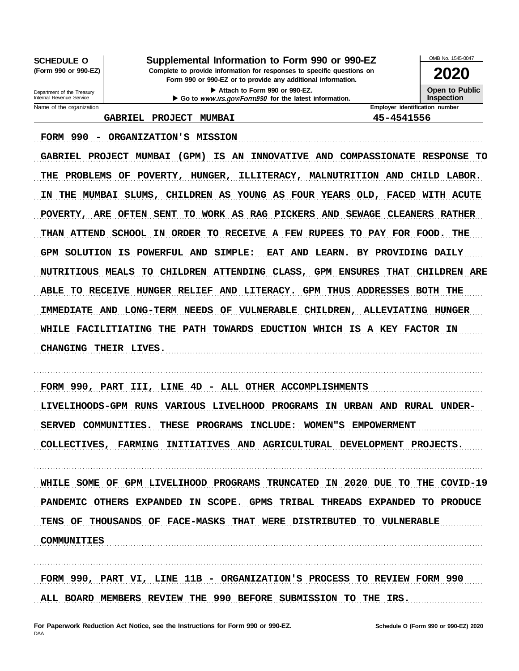**SCHEDULE O** (Form 990 or 990-EZ)

Department of the Treasury Internal Revenue Service Name of the organization Supplemental Information to Form 990 or 990-EZ Complete to provide information for responses to specific questions on

Form 990 or 990-EZ or to provide any additional information. Attach to Form 990 or 990-EZ. Go to www.irs.gov/Form990 for the latest information.



GABRIEL PROJECT MUMBAI

45-4541556

FORM 990 - ORGANIZATION'S MISSION

GABRIEL PROJECT MUMBAI (GPM) IS AN INNOVATIVE AND COMPASSIONATE RESPONSE TO THE PROBLEMS OF POVERTY, HUNGER, ILLITERACY, MALNUTRITION AND CHILD LABOR. IN THE MUMBAI SLUMS, CHILDREN AS YOUNG AS FOUR YEARS OLD, FACED WITH ACUTE POVERTY, ARE OFTEN SENT TO WORK AS RAG PICKERS AND SEWAGE CLEANERS RATHER THAN ATTEND SCHOOL IN ORDER TO RECEIVE A FEW RUPEES TO PAY FOR FOOD. THE GPM SOLUTION IS POWERFUL AND SIMPLE: EAT AND LEARN. BY PROVIDING DAILY NUTRITIOUS MEALS TO CHILDREN ATTENDING CLASS, GPM ENSURES THAT CHILDREN ARE ABLE TO RECEIVE HUNGER RELIEF AND LITERACY. GPM THUS ADDRESSES BOTH THE IMMEDIATE AND LONG-TERM NEEDS OF VULNERABLE CHILDREN, ALLEVIATING HUNGER WHILE FACILITIATING THE PATH TOWARDS EDUCTION WHICH IS A KEY FACTOR IN CHANGING THEIR LIVES.

FORM 990, PART III, LINE 4D - ALL OTHER ACCOMPLISHMENTS LIVELIHOODS-GPM RUNS VARIOUS LIVELHOOD PROGRAMS IN URBAN AND RURAL UNDER-SERVED COMMUNITIES. THESE PROGRAMS INCLUDE: WOMEN"S EMPOWERMENT

COLLECTIVES, FARMING INITIATIVES AND AGRICULTURAL DEVELOPMENT PROJECTS.

WHILE SOME OF GPM LIVELIHOOD PROGRAMS TRUNCATED IN 2020 DUE TO THE COVID-19 PANDEMIC OTHERS EXPANDED IN SCOPE. GPMS TRIBAL THREADS EXPANDED TO PRODUCE TENS OF THOUSANDS OF FACE-MASKS THAT WERE DISTRIBUTED TO VULNERABLE COMMUNITIES

FORM 990, PART VI, LINE 11B - ORGANIZATION'S PROCESS TO REVIEW FORM 990 ALL BOARD MEMBERS REVIEW THE 990 BEFORE SUBMISSION TO THE IRS.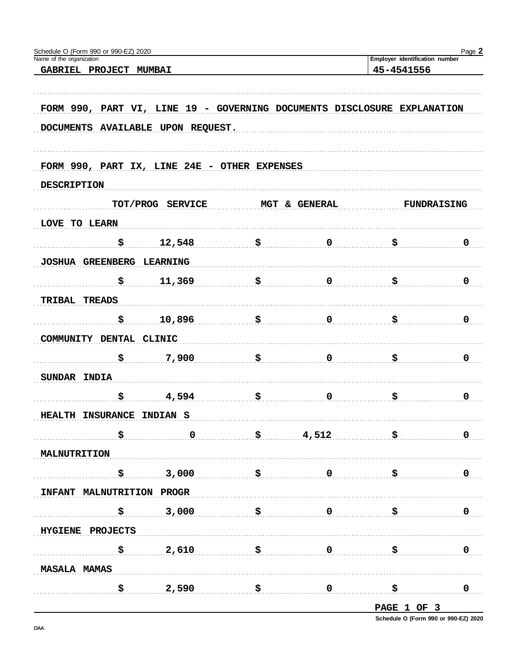| Schedule O (Form 990 or 990-EZ) 2020                                    |                     |                                |                         | Employer identification number | Page 2             |
|-------------------------------------------------------------------------|---------------------|--------------------------------|-------------------------|--------------------------------|--------------------|
| Name of the organization<br>GABRIEL PROJECT                             | <b>MUMBAI</b>       |                                |                         | 45-4541556                     |                    |
|                                                                         |                     |                                |                         |                                |                    |
|                                                                         |                     |                                |                         |                                |                    |
| FORM 990, PART VI, LINE 19 - GOVERNING DOCUMENTS DISCLOSURE EXPLANATION |                     |                                |                         |                                |                    |
| DOCUMENTS AVAILABLE UPON REQUEST.                                       |                     |                                |                         |                                |                    |
|                                                                         |                     |                                |                         |                                |                    |
| FORM 990, PART IX, LINE 24E - OTHER EXPENSES                            |                     |                                |                         |                                |                    |
| <b>DESCRIPTION</b>                                                      |                     |                                |                         |                                |                    |
|                                                                         | TOT/PROG SERVICE    |                                | MGT & GENERAL           |                                | <b>FUNDRAISING</b> |
| LOVE TO LEARN                                                           |                     |                                |                         |                                |                    |
|                                                                         |                     |                                |                         |                                |                    |
| \$                                                                      | 12,548              | \$                             | $\pmb{0}$               | \$                             | $\mathbf 0$        |
| JOSHUA GREENBERG LEARNING                                               |                     |                                |                         |                                |                    |
| \$                                                                      | 11,369              | \$                             | $\mathbf 0$             | \$                             | $\mathbf 0$        |
| TRIBAL TREADS                                                           |                     |                                |                         |                                |                    |
| \$.                                                                     | 10,896              | \$                             | $\pmb{0}$               | \$                             | 0                  |
| COMMUNITY DENTAL CLINIC                                                 |                     |                                |                         |                                |                    |
| \$                                                                      | 7,900               | \$                             | $\mathbf 0$             | \$                             | 0                  |
|                                                                         |                     |                                |                         |                                |                    |
| SUNDAR INDIA                                                            |                     |                                |                         |                                |                    |
| \$                                                                      | 4,594               | \$                             | 0                       | \$                             | $\mathbf 0$        |
| HEALTH INSURANCE INDIAN S                                               |                     |                                |                         |                                |                    |
| Ś.                                                                      | 0                   | \$                             | 4,512                   | \$.                            | 0                  |
| MALNUTRITION                                                            |                     |                                |                         |                                |                    |
|                                                                         | $\frac{1}{2}$ , 000 |                                | $\overline{\mathbf{0}}$ | \$                             | $\mathbf 0$        |
| MALNUTRITION PROGR<br><b>INFANT</b>                                     |                     |                                |                         |                                |                    |
|                                                                         | 3,000               |                                | $\overline{\mathbf{0}}$ |                                |                    |
| \$                                                                      |                     | \$                             |                         | \$                             | $\mathbf 0$        |
| HYGIENE PROJECTS                                                        |                     |                                |                         |                                |                    |
| \$                                                                      | 2,610               | <u>이 없는 것이 없는 것이 없는 것이 없다.</u> | $\overline{\mathbf{0}}$ | န                              | $\mathbf 0$        |
| <b>MASALA MAMAS</b>                                                     |                     |                                |                         |                                |                    |
|                                                                         | 2,590               | \$                             | $\pmb{0}$               | \$                             | $\mathbf 0$        |
|                                                                         |                     |                                |                         | PAGE 1 OF 3                    |                    |

Schedule O (Form 990 or 990-EZ) 2020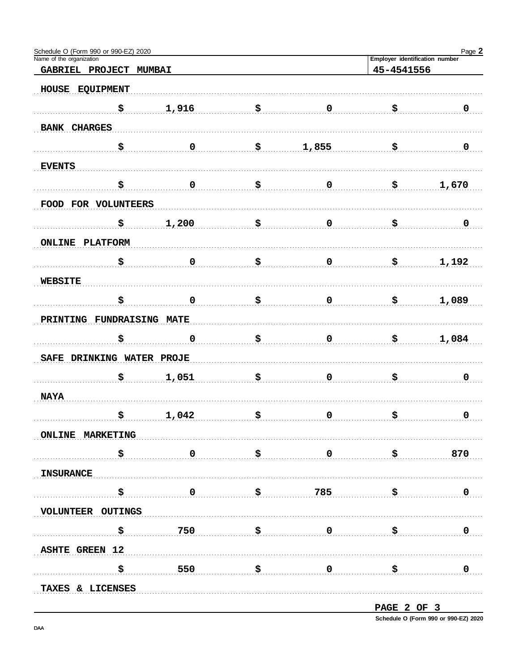| Schedule O (Form 990 or 990-EZ) 2020 |                                                               |                                    |                                | Page 2                  |
|--------------------------------------|---------------------------------------------------------------|------------------------------------|--------------------------------|-------------------------|
| Name of the organization             |                                                               |                                    | Employer identification number |                         |
| GABRIEL PROJECT                      | <b>MUMBAI</b>                                                 |                                    | 45-4541556                     |                         |
| HOUSE EQUIPMENT                      |                                                               |                                    |                                |                         |
| \$                                   | 1,916                                                         | \$<br>$\overline{\mathbf{0}}$      | \$                             | $\overline{0}$          |
|                                      |                                                               |                                    |                                |                         |
| BANK CHARGES                         |                                                               |                                    |                                |                         |
| \$                                   | $\pmb{0}$                                                     | \$<br>1,855                        | \$                             | $\mathbf 0$             |
| <b>EVENTS</b>                        |                                                               |                                    |                                |                         |
|                                      |                                                               |                                    |                                |                         |
| \$                                   | $\pmb{0}$                                                     | \$<br>$\pmb{0}$                    | \$                             | 1,670                   |
| FOOD FOR VOLUNTEERS                  |                                                               |                                    |                                |                         |
| \$                                   | 1,200                                                         | \$<br>$\pmb{0}$                    | \$                             | $\mathbf 0$             |
| <b>ONLINE PLATFORM</b>               |                                                               |                                    |                                |                         |
|                                      |                                                               |                                    |                                |                         |
| \$                                   | $\mathbf 0$                                                   | \$<br>$\mathbf 0$                  | \$                             | 1,192                   |
| <b>WEBSITE</b>                       |                                                               |                                    |                                |                         |
| \$                                   | $\mathbf 0$                                                   | \$<br>$\pmb{0}$                    | \$                             | 1,089                   |
|                                      |                                                               |                                    |                                |                         |
| PRINTING FUNDRAISING MATE            |                                                               |                                    |                                |                         |
| \$                                   | $\pmb{0}$                                                     | \$<br>$\mathbf 0$                  | \$                             | 1,084                   |
| SAFE DRINKING WATER PROJE            |                                                               |                                    |                                |                         |
|                                      |                                                               |                                    |                                |                         |
| \$                                   | 1,051                                                         | \$<br>$\pmb{0}$                    | \$                             | $\mathbf 0$             |
| <b>NAYA</b>                          |                                                               |                                    |                                |                         |
| \$                                   | 1,042                                                         | \$<br>$\pmb{0}$                    | \$                             | $\pmb{0}$               |
|                                      |                                                               |                                    |                                |                         |
| <b>ONLINE MARKETING</b>              |                                                               |                                    |                                |                         |
| \$                                   |                                                               | 0       \$       0      \$     870 |                                |                         |
| <b>INSURANCE</b>                     |                                                               |                                    |                                |                         |
| \$                                   | $\begin{matrix}0&\xi&\phantom{-}785&\phantom{-}5\end{matrix}$ |                                    |                                | $\overline{\mathbf{0}}$ |
|                                      |                                                               |                                    |                                |                         |
| VOLUNTEER OUTINGS                    |                                                               |                                    |                                |                         |
| \$                                   | 750                                                           | $\overline{\mathbf{0}}$            | . \$.                          | $\mathbf{0}$            |
| <b>ASHTE GREEN 12</b>                |                                                               |                                    |                                |                         |
|                                      |                                                               |                                    |                                |                         |
| \$                                   | $\frac{550}{2}$                                               | \$<br>$\overline{\mathbf{0}}$      | \$                             | $\mathbf 0$             |
| TAXES & LICENSES                     |                                                               |                                    |                                |                         |
|                                      |                                                               |                                    | PACE 2 OF 3                    |                         |

Schedule O (Form 990 or 990-EZ) 2020